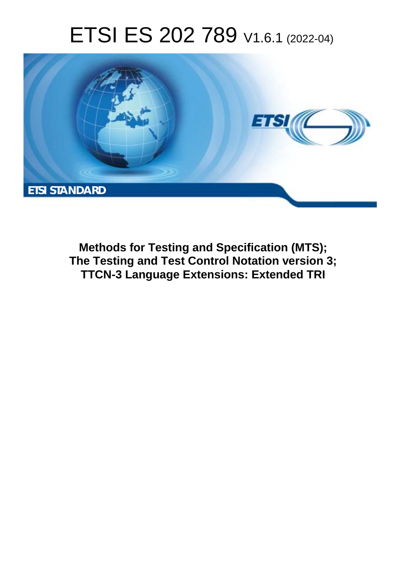# ETSI ES 202 789 V1.6.1 (2022-04)



**Methods for Testing and Specification (MTS); The Testing and Test Control Notation version 3; TTCN-3 Language Extensions: Extended TRI**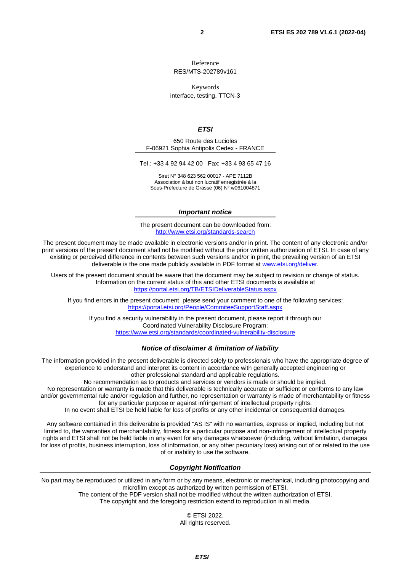Reference

RES/MTS-202789v161

Keywords

interface, testing, TTCN-3

#### *ETSI*

650 Route des Lucioles F-06921 Sophia Antipolis Cedex - FRANCE

Tel.: +33 4 92 94 42 00 Fax: +33 4 93 65 47 16

Siret N° 348 623 562 00017 - APE 7112B Association à but non lucratif enregistrée à la Sous-Préfecture de Grasse (06) N° w061004871

#### *Important notice*

The present document can be downloaded from: <http://www.etsi.org/standards-search>

The present document may be made available in electronic versions and/or in print. The content of any electronic and/or print versions of the present document shall not be modified without the prior written authorization of ETSI. In case of any existing or perceived difference in contents between such versions and/or in print, the prevailing version of an ETSI deliverable is the one made publicly available in PDF format at [www.etsi.org/deliver](http://www.etsi.org/deliver).

Users of the present document should be aware that the document may be subject to revision or change of status. Information on the current status of this and other ETSI documents is available at <https://portal.etsi.org/TB/ETSIDeliverableStatus.aspx>

If you find errors in the present document, please send your comment to one of the following services: <https://portal.etsi.org/People/CommiteeSupportStaff.aspx>

If you find a security vulnerability in the present document, please report it through our Coordinated Vulnerability Disclosure Program: <https://www.etsi.org/standards/coordinated-vulnerability-disclosure>

#### *Notice of disclaimer & limitation of liability*

The information provided in the present deliverable is directed solely to professionals who have the appropriate degree of experience to understand and interpret its content in accordance with generally accepted engineering or other professional standard and applicable regulations.

No recommendation as to products and services or vendors is made or should be implied.

No representation or warranty is made that this deliverable is technically accurate or sufficient or conforms to any law and/or governmental rule and/or regulation and further, no representation or warranty is made of merchantability or fitness for any particular purpose or against infringement of intellectual property rights.

In no event shall ETSI be held liable for loss of profits or any other incidental or consequential damages.

Any software contained in this deliverable is provided "AS IS" with no warranties, express or implied, including but not limited to, the warranties of merchantability, fitness for a particular purpose and non-infringement of intellectual property rights and ETSI shall not be held liable in any event for any damages whatsoever (including, without limitation, damages for loss of profits, business interruption, loss of information, or any other pecuniary loss) arising out of or related to the use of or inability to use the software.

#### *Copyright Notification*

No part may be reproduced or utilized in any form or by any means, electronic or mechanical, including photocopying and microfilm except as authorized by written permission of ETSI.

> The content of the PDF version shall not be modified without the written authorization of ETSI. The copyright and the foregoing restriction extend to reproduction in all media.

© ETSI 2022. All rights reserved.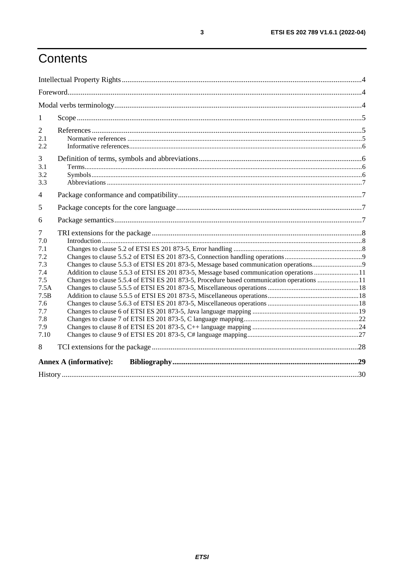# Contents

| 1                                                                                                    |                                                                                                                                                                                       |  |
|------------------------------------------------------------------------------------------------------|---------------------------------------------------------------------------------------------------------------------------------------------------------------------------------------|--|
| $\overline{2}$<br>2.1<br>2.2                                                                         |                                                                                                                                                                                       |  |
| 3<br>3.1<br>3.2<br>3.3                                                                               |                                                                                                                                                                                       |  |
| 4                                                                                                    |                                                                                                                                                                                       |  |
| 5                                                                                                    |                                                                                                                                                                                       |  |
| 6                                                                                                    |                                                                                                                                                                                       |  |
| 7<br>7.0<br>7.1<br>7.2<br>7.3<br>7.4<br>7.5<br>7.5A<br>7.5B<br>7.6<br>7.7<br>7.8<br>7.9<br>7.10<br>8 | Addition to clause 5.5.3 of ETSI ES 201 873-5, Message based communication operations 11<br>Changes to clause 5.5.4 of ETSI ES 201 873-5, Procedure based communication operations 11 |  |
|                                                                                                      | <b>Annex A (informative):</b>                                                                                                                                                         |  |
|                                                                                                      |                                                                                                                                                                                       |  |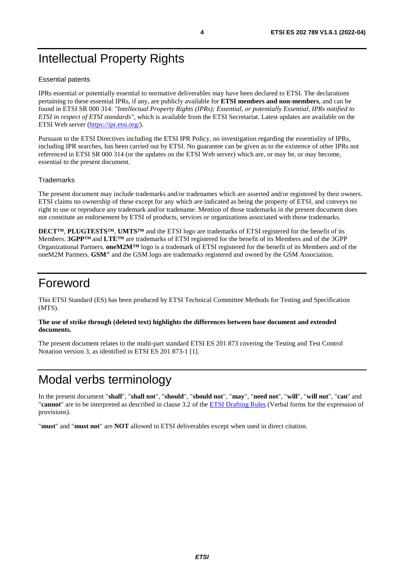# <span id="page-3-0"></span>Intellectual Property Rights

#### Essential patents

IPRs essential or potentially essential to normative deliverables may have been declared to ETSI. The declarations pertaining to these essential IPRs, if any, are publicly available for **ETSI members and non-members**, and can be found in ETSI SR 000 314: *"Intellectual Property Rights (IPRs); Essential, or potentially Essential, IPRs notified to ETSI in respect of ETSI standards"*, which is available from the ETSI Secretariat. Latest updates are available on the ETSI Web server ([https://ipr.etsi.org/\)](https://ipr.etsi.org/).

Pursuant to the ETSI Directives including the ETSI IPR Policy, no investigation regarding the essentiality of IPRs, including IPR searches, has been carried out by ETSI. No guarantee can be given as to the existence of other IPRs not referenced in ETSI SR 000 314 (or the updates on the ETSI Web server) which are, or may be, or may become, essential to the present document.

#### **Trademarks**

The present document may include trademarks and/or tradenames which are asserted and/or registered by their owners. ETSI claims no ownership of these except for any which are indicated as being the property of ETSI, and conveys no right to use or reproduce any trademark and/or tradename. Mention of those trademarks in the present document does not constitute an endorsement by ETSI of products, services or organizations associated with those trademarks.

**DECT™**, **PLUGTESTS™**, **UMTS™** and the ETSI logo are trademarks of ETSI registered for the benefit of its Members. **3GPP™** and **LTE™** are trademarks of ETSI registered for the benefit of its Members and of the 3GPP Organizational Partners. **oneM2M™** logo is a trademark of ETSI registered for the benefit of its Members and of the oneM2M Partners. **GSM**® and the GSM logo are trademarks registered and owned by the GSM Association.

### Foreword

This ETSI Standard (ES) has been produced by ETSI Technical Committee Methods for Testing and Specification (MTS).

#### **The use of strike through (deleted text) highlights the differences between base document and extended documents.**

The present document relates to the multi-part standard ETSI ES 201 873 covering the Testing and Test Control Notation version 3, as identified in ETSI ES 201 873-1 [\[1\]](#page-4-0).

# Modal verbs terminology

In the present document "**shall**", "**shall not**", "**should**", "**should not**", "**may**", "**need not**", "**will**", "**will not**", "**can**" and "**cannot**" are to be interpreted as described in clause 3.2 of the [ETSI Drafting Rules](https://portal.etsi.org/Services/editHelp!/Howtostart/ETSIDraftingRules.aspx) (Verbal forms for the expression of provisions).

"**must**" and "**must not**" are **NOT** allowed in ETSI deliverables except when used in direct citation.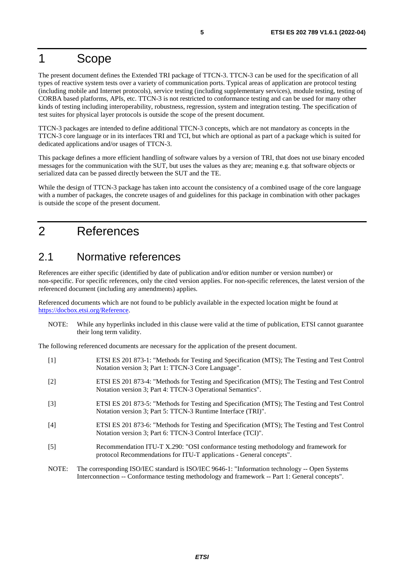# <span id="page-4-0"></span>1 Scope

The present document defines the Extended TRI package of TTCN-3. TTCN-3 can be used for the specification of all types of reactive system tests over a variety of communication ports. Typical areas of application are protocol testing (including mobile and Internet protocols), service testing (including supplementary services), module testing, testing of CORBA based platforms, APIs, etc. TTCN-3 is not restricted to conformance testing and can be used for many other kinds of testing including interoperability, robustness, regression, system and integration testing. The specification of test suites for physical layer protocols is outside the scope of the present document.

TTCN-3 packages are intended to define additional TTCN-3 concepts, which are not mandatory as concepts in the TTCN-3 core language or in its interfaces TRI and TCI, but which are optional as part of a package which is suited for dedicated applications and/or usages of TTCN-3.

This package defines a more efficient handling of software values by a version of TRI, that does not use binary encoded messages for the communication with the SUT, but uses the values as they are; meaning e.g. that software objects or serialized data can be passed directly between the SUT and the TE.

While the design of TTCN-3 package has taken into account the consistency of a combined usage of the core language with a number of packages, the concrete usages of and guidelines for this package in combination with other packages is outside the scope of the present document.

## 2 References

### 2.1 Normative references

References are either specific (identified by date of publication and/or edition number or version number) or non-specific. For specific references, only the cited version applies. For non-specific references, the latest version of the referenced document (including any amendments) applies.

Referenced documents which are not found to be publicly available in the expected location might be found at <https://docbox.etsi.org/Reference>.

NOTE: While any hyperlinks included in this clause were valid at the time of publication, ETSI cannot guarantee their long term validity.

The following referenced documents are necessary for the application of the present document.

| $[1]$ | ETSI ES 201 873-1: "Methods for Testing and Specification (MTS); The Testing and Test Control<br>Notation version 3; Part 1: TTCN-3 Core Language".                                             |
|-------|-------------------------------------------------------------------------------------------------------------------------------------------------------------------------------------------------|
| $[2]$ | ETSI ES 201 873-4: "Methods for Testing and Specification (MTS); The Testing and Test Control<br>Notation version 3; Part 4: TTCN-3 Operational Semantics".                                     |
| $[3]$ | ETSI ES 201 873-5: "Methods for Testing and Specification (MTS); The Testing and Test Control<br>Notation version 3; Part 5: TTCN-3 Runtime Interface (TRI)".                                   |
| [4]   | ETSI ES 201 873-6: "Methods for Testing and Specification (MTS); The Testing and Test Control<br>Notation version 3; Part 6: TTCN-3 Control Interface (TCI)".                                   |
| $[5]$ | Recommendation ITU-T X.290: "OSI conformance testing methodology and framework for<br>protocol Recommendations for ITU-T applications - General concepts".                                      |
| NOTE: | The corresponding ISO/IEC standard is ISO/IEC 9646-1: "Information technology -- Open Systems<br>Interconnection -- Conformance testing methodology and framework -- Part 1: General concepts". |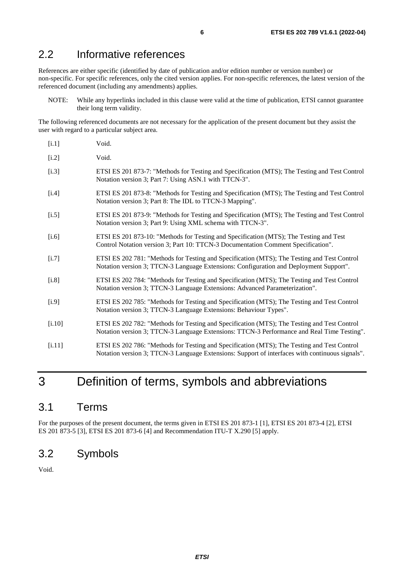### <span id="page-5-0"></span>2.2 Informative references

References are either specific (identified by date of publication and/or edition number or version number) or non-specific. For specific references, only the cited version applies. For non-specific references, the latest version of the referenced document (including any amendments) applies.

NOTE: While any hyperlinks included in this clause were valid at the time of publication, ETSI cannot guarantee their long term validity.

The following referenced documents are not necessary for the application of the present document but they assist the user with regard to a particular subject area.

| [i.1]   | Void.                                                                                                                                                                                 |
|---------|---------------------------------------------------------------------------------------------------------------------------------------------------------------------------------------|
| $[1.2]$ | Void.                                                                                                                                                                                 |
| $[1.3]$ | ETSI ES 201 873-7: "Methods for Testing and Specification (MTS); The Testing and Test Control<br>Notation version 3; Part 7: Using ASN.1 with TTCN-3".                                |
| $[1.4]$ | ETSI ES 201 873-8: "Methods for Testing and Specification (MTS); The Testing and Test Control<br>Notation version 3; Part 8: The IDL to TTCN-3 Mapping".                              |
| $[1.5]$ | ETSI ES 201 873-9: "Methods for Testing and Specification (MTS); The Testing and Test Control<br>Notation version 3; Part 9: Using XML schema with TTCN-3".                           |
| $[1.6]$ | ETSI ES 201 873-10: "Methods for Testing and Specification (MTS); The Testing and Test<br>Control Notation version 3; Part 10: TTCN-3 Documentation Comment Specification".           |
| $[1.7]$ | ETSI ES 202 781: "Methods for Testing and Specification (MTS); The Testing and Test Control<br>Notation version 3; TTCN-3 Language Extensions: Configuration and Deployment Support". |
| [i.8]   | ETSI ES 202 784: "Methods for Testing and Specification (MTS); The Testing and Test Control<br>Notation version 3; TTCN-3 Language Extensions: Advanced Parameterization".            |
| [i.9]   | ETSI ES 202 785: "Methods for Testing and Specification (MTS); The Testing and Test Control<br>Notation version 3; TTCN-3 Language Extensions: Behaviour Types".                      |
| [1.10]  | ETSI ES 202 782: "Methods for Testing and Specification (MTS); The Testing and Test Control                                                                                           |

[i.11] ETSI ES 202 786: "Methods for Testing and Specification (MTS); The Testing and Test Control Notation version 3; TTCN-3 Language Extensions: Support of interfaces with continuous signals".

Notation version 3; TTCN-3 Language Extensions: TTCN-3 Performance and Real Time Testing".

### 3 Definition of terms, symbols and abbreviations

### 3.1 Terms

For the purposes of the present document, the terms given in ETSI ES 201 873-1 [\[1](#page-4-0)], ETSI ES 201 873-4 [[2\]](#page-4-0), ETSI ES 201 873-5 [\[3\]](#page-4-0), ETSI ES 201 873-6 [\[4](#page-4-0)] and Recommendation ITU-T X.290 [\[5](#page-4-0)] apply.

### 3.2 Symbols

Void.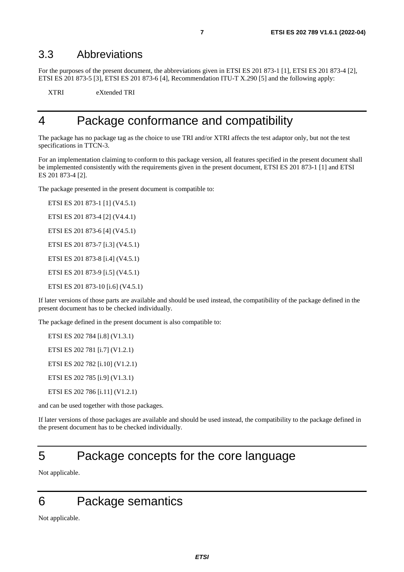### <span id="page-6-0"></span>3.3 Abbreviations

For the purposes of the present document, the abbreviations given in ETSI ES 201 873-1 [\[1\]](#page-4-0), ETSI ES 201 873-4 [[2](#page-4-0)], ETSI ES 201 873-5 [\[3](#page-4-0)], ETSI ES 201 873-6 [[4\]](#page-4-0), Recommendation ITU-T X.290 [\[5\]](#page-4-0) and the following apply:

XTRI eXtended TRI

### 4 Package conformance and compatibility

The package has no package tag as the choice to use TRI and/or XTRI affects the test adaptor only, but not the test specifications in TTCN-3.

For an implementation claiming to conform to this package version, all features specified in the present document shall be implemented consistently with the requirements given in the present document, ETSI ES 201 873-1 [\[1](#page-4-0)] and ETSI ES 201 873-4 [\[2\]](#page-4-0).

The package presented in the present document is compatible to:

ETSI ES 201 873-1 [[1](#page-4-0)] (V4.5.1) ETSI ES 201 873-4 [[2](#page-4-0)] (V4.4.1) ETSI ES 201 873-6 [[4](#page-4-0)] (V4.5.1) ETSI ES 201 873-7 [[i.3](#page-5-0)] (V4.5.1) ETSI ES 201 873-8 [[i.4](#page-5-0)] (V4.5.1) ETSI ES 201 873-9 [[i.5](#page-5-0)] (V4.5.1) ETSI ES 201 873-10 [\[i.6\]](#page-5-0) (V4.5.1)

If later versions of those parts are available and should be used instead, the compatibility of the package defined in the present document has to be checked individually.

The package defined in the present document is also compatible to:

ETSI ES 202 784 [[i.8](#page-5-0)] (V1.3.1) ETSI ES 202 781 [[i.7](#page-5-0)] (V1.2.1) ETSI ES 202 782 [[i.10](#page-5-0)] (V1.2.1) ETSI ES 202 785 [[i.9](#page-5-0)] (V1.3.1)

ETSI ES 202 786 [[i.11](#page-5-0)] (V1.2.1)

and can be used together with those packages.

If later versions of those packages are available and should be used instead, the compatibility to the package defined in the present document has to be checked individually.

# 5 Package concepts for the core language

Not applicable.

# 6 Package semantics

Not applicable.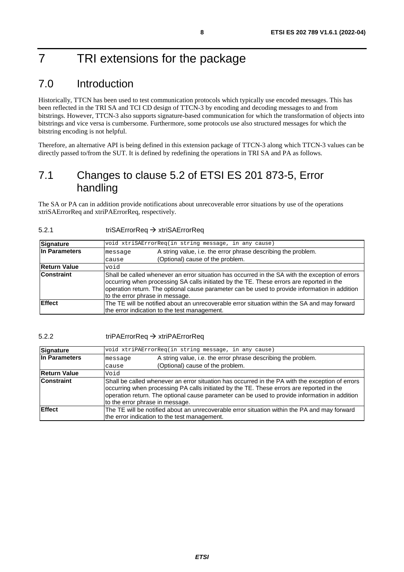# <span id="page-7-0"></span>7 TRI extensions for the package

### 7.0 Introduction

Historically, TTCN has been used to test communication protocols which typically use encoded messages. This has been reflected in the TRI SA and TCI CD design of TTCN-3 by encoding and decoding messages to and from bitstrings. However, TTCN-3 also supports signature-based communication for which the transformation of objects into bitstrings and vice versa is cumbersome. Furthermore, some protocols use also structured messages for which the bitstring encoding is not helpful.

Therefore, an alternative API is being defined in this extension package of TTCN-3 along which TTCN-3 values can be directly passed to/from the SUT. It is defined by redefining the operations in TRI SA and PA as follows.

### 7.1 Changes to clause 5.2 of ETSI ES 201 873-5, Error handling

The SA or PA can in addition provide notifications about unrecoverable error situations by use of the operations xtriSAErrorReq and xtriPAErrorReq, respectively.

### 5.2.1 triSAErrorReq → xtriSAErrorReq

| Signature           | void xtriSAErrorReq(in string message, in any cause)                                                                                                                                                                                                                                                                            |                                                               |
|---------------------|---------------------------------------------------------------------------------------------------------------------------------------------------------------------------------------------------------------------------------------------------------------------------------------------------------------------------------|---------------------------------------------------------------|
| In Parameters       | message                                                                                                                                                                                                                                                                                                                         | A string value, i.e. the error phrase describing the problem. |
|                     | cause                                                                                                                                                                                                                                                                                                                           | (Optional) cause of the problem.                              |
| <b>Return Value</b> | void                                                                                                                                                                                                                                                                                                                            |                                                               |
| <b>Constraint</b>   | Shall be called whenever an error situation has occurred in the SA with the exception of errors<br>occurring when processing SA calls initiated by the TE. These errors are reported in the<br>operation return. The optional cause parameter can be used to provide information in addition<br>to the error phrase in message. |                                                               |
| <b>Effect</b>       | The TE will be notified about an unrecoverable error situation within the SA and may forward<br>the error indication to the test management.                                                                                                                                                                                    |                                                               |

#### 5.2.2 triPAErrorReq → xtriPAErrorReq

| <b>Signature</b>    | void xtriPAErrorReq(in string message, in any cause)                                                                                                                                                                                                                                                                            |                                                                                                   |
|---------------------|---------------------------------------------------------------------------------------------------------------------------------------------------------------------------------------------------------------------------------------------------------------------------------------------------------------------------------|---------------------------------------------------------------------------------------------------|
| In Parameters       | message<br>cause                                                                                                                                                                                                                                                                                                                | A string value, i.e. the error phrase describing the problem.<br>(Optional) cause of the problem. |
| <b>Return Value</b> | Void                                                                                                                                                                                                                                                                                                                            |                                                                                                   |
| <b>Constraint</b>   | Shall be called whenever an error situation has occurred in the PA with the exception of errors<br>occurring when processing PA calls initiated by the TE. These errors are reported in the<br>operation return. The optional cause parameter can be used to provide information in addition<br>to the error phrase in message. |                                                                                                   |
| <b>Effect</b>       | The TE will be notified about an unrecoverable error situation within the PA and may forward<br>the error indication to the test management.                                                                                                                                                                                    |                                                                                                   |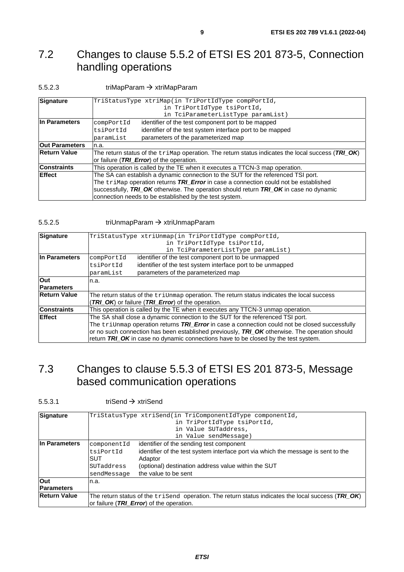### <span id="page-8-0"></span>7.2 Changes to clause 5.5.2 of ETSI ES 201 873-5, Connection handling operations

#### 5.5.2.3 triMapParam xtriMapParam

| Signature                   | TriStatusType xtriMap(in TriPortIdType compPortId,                                                         |                                                           |  |
|-----------------------------|------------------------------------------------------------------------------------------------------------|-----------------------------------------------------------|--|
|                             | in TriPortIdType tsiPortId,                                                                                |                                                           |  |
|                             |                                                                                                            | in TciParameterListType paramList)                        |  |
| In Parameters<br>compPortId |                                                                                                            | identifier of the test component port to be mapped        |  |
|                             | tsiPortId                                                                                                  | identifier of the test system interface port to be mapped |  |
|                             | paramList                                                                                                  | parameters of the parameterized map                       |  |
| <b>Out Parameters</b>       | n.a.                                                                                                       |                                                           |  |
| <b>Return Value</b>         | The return status of the $\text{trimap}$ operation. The return status indicates the local success (TRI_OK) |                                                           |  |
|                             | or failure ( <i>TRI_Error</i> ) of the operation.                                                          |                                                           |  |
| <b>Constraints</b>          | This operation is called by the TE when it executes a TTCN-3 map operation.                                |                                                           |  |
| <b>Effect</b>               | The SA can establish a dynamic connection to the SUT for the referenced TSI port.                          |                                                           |  |
|                             | The triMap operation returns TRI_Error in case a connection could not be established                       |                                                           |  |
|                             | successfully, TRI_OK otherwise. The operation should return TRI_OK in case no dynamic                      |                                                           |  |
|                             | connection needs to be established by the test system.                                                     |                                                           |  |

#### 5.5.2.5 triUnmapParam xtriUnmapParam

| <b>Signature</b><br>TriStatusType xtriUnmap(in TriPortIdType compPortId, |                                                                                                     |                                                                                    |  |  |  |
|--------------------------------------------------------------------------|-----------------------------------------------------------------------------------------------------|------------------------------------------------------------------------------------|--|--|--|
|                                                                          | in TriPortIdType tsiPortId,                                                                         |                                                                                    |  |  |  |
|                                                                          |                                                                                                     | in TciParameterListType paramList)                                                 |  |  |  |
| In Parameters                                                            | identifier of the test component port to be unmapped                                                |                                                                                    |  |  |  |
|                                                                          | tsiPortId                                                                                           | identifier of the test system interface port to be unmapped                        |  |  |  |
|                                                                          | paramList                                                                                           | parameters of the parameterized map                                                |  |  |  |
| <b>Out</b>                                                               | n.a.                                                                                                |                                                                                    |  |  |  |
| <b>Parameters</b>                                                        |                                                                                                     |                                                                                    |  |  |  |
| <b>Return Value</b>                                                      | The return status of the $\text{trid}$ map operation. The return status indicates the local success |                                                                                    |  |  |  |
|                                                                          | (TRI_OK) or failure (TRI_Error) of the operation.                                                   |                                                                                    |  |  |  |
| <b>Constraints</b>                                                       | This operation is called by the TE when it executes any TTCN-3 unmap operation.                     |                                                                                    |  |  |  |
| Effect                                                                   | The SA shall close a dynamic connection to the SUT for the referenced TSI port.                     |                                                                                    |  |  |  |
|                                                                          | The triUnmap operation returns TRI_Error in case a connection could not be closed successfully      |                                                                                    |  |  |  |
|                                                                          | or no such connection has been established previously, TRI_OK otherwise. The operation should       |                                                                                    |  |  |  |
|                                                                          |                                                                                                     | return TRI_OK in case no dynamic connections have to be closed by the test system. |  |  |  |

### 7.3 Changes to clause 5.5.3 of ETSI ES 201 873-5, Message based communication operations

#### 5.5.3.1 triSend  $\rightarrow$  xtriSend

| Signature           |                                                                                                             | TriStatusType xtriSend(in TriComponentIdType componentId,                         |
|---------------------|-------------------------------------------------------------------------------------------------------------|-----------------------------------------------------------------------------------|
|                     |                                                                                                             | in TriPortIdType tsiPortId,                                                       |
|                     |                                                                                                             | in Value SUTaddress,                                                              |
|                     |                                                                                                             | in Value sendMessage)                                                             |
| In Parameters       | componentId                                                                                                 | identifier of the sending test component                                          |
|                     | tsiPortId                                                                                                   | identifier of the test system interface port via which the message is sent to the |
|                     | <b>SUT</b>                                                                                                  | Adaptor                                                                           |
|                     | SUTaddress                                                                                                  | (optional) destination address value within the SUT                               |
|                     | sendMessage                                                                                                 | the value to be sent                                                              |
| <b>Out</b>          | n.a.                                                                                                        |                                                                                   |
| <b>Parameters</b>   |                                                                                                             |                                                                                   |
| <b>Return Value</b> | The return status of the $\text{trisend}$ operation. The return status indicates the local success (TRI OK) |                                                                                   |
|                     |                                                                                                             | or failure ( <i>TRI_Error</i> ) of the operation.                                 |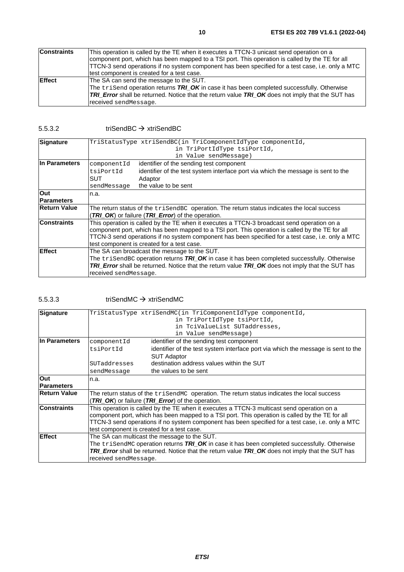| <b>Constraints</b> | This operation is called by the TE when it executes a TTCN-3 unicast send operation on a<br>component port, which has been mapped to a TSI port. This operation is called by the TE for all<br>TTCN-3 send operations if no system component has been specified for a test case, i.e. only a MTC |  |  |
|--------------------|--------------------------------------------------------------------------------------------------------------------------------------------------------------------------------------------------------------------------------------------------------------------------------------------------|--|--|
|                    | test component is created for a test case.                                                                                                                                                                                                                                                       |  |  |
| <b>IEffect</b>     | The SA can send the message to the SUT.                                                                                                                                                                                                                                                          |  |  |
|                    | The $\text{trisend}$ operation returns $\text{TRI}_\text{D}\text{OK}$ in case it has been completed successfully. Otherwise                                                                                                                                                                      |  |  |
|                    | <b>TRI Error</b> shall be returned. Notice that the return value TRI OK does not imply that the SUT has                                                                                                                                                                                          |  |  |
|                    | received sendMessage.                                                                                                                                                                                                                                                                            |  |  |

#### 5.5.3.2 triSendBC → xtriSendBC

| TriStatusType xtriSendBC(in TriComponentIdType componentId,<br>Signature                                            |                                                                                   |  |
|---------------------------------------------------------------------------------------------------------------------|-----------------------------------------------------------------------------------|--|
|                                                                                                                     | in TriPortIdType tsiPortId,                                                       |  |
|                                                                                                                     | in Value sendMessage)                                                             |  |
| componentId                                                                                                         | identifier of the sending test component                                          |  |
| tsiPortId                                                                                                           | identifier of the test system interface port via which the message is sent to the |  |
| SUT                                                                                                                 | Adaptor                                                                           |  |
| sendMessage                                                                                                         | the value to be sent                                                              |  |
| n.a.                                                                                                                |                                                                                   |  |
|                                                                                                                     |                                                                                   |  |
| <b>Return Value</b><br>The return status of the trisend BC operation. The return status indicates the local success |                                                                                   |  |
| (TRI_OK) or failure (TRI_Error) of the operation.                                                                   |                                                                                   |  |
| <b>Constraints</b><br>This operation is called by the TE when it executes a TTCN-3 broadcast send operation on a    |                                                                                   |  |
| component port, which has been mapped to a TSI port. This operation is called by the TE for all                     |                                                                                   |  |
| TTCN-3 send operations if no system component has been specified for a test case, i.e. only a MTC                   |                                                                                   |  |
| test component is created for a test case.                                                                          |                                                                                   |  |
| <b>Effect</b><br>The SA can broadcast the message to the SUT.                                                       |                                                                                   |  |
| The $tri$ SendBC operation returns $\mathcal{TRI}\_OK$ in case it has been completed successfully. Otherwise        |                                                                                   |  |
| <b>TRI Error</b> shall be returned. Notice that the return value <b>TRI OK</b> does not imply that the SUT has      |                                                                                   |  |
| received sendMessage.                                                                                               |                                                                                   |  |
|                                                                                                                     |                                                                                   |  |

#### 5.5.3.3 triSendMC xtriSendMC

| Signature                                                                                                        | TriStatusType xtriSendMC(in TriComponentIdType componentId,                                                    |                                                                                   |  |  |
|------------------------------------------------------------------------------------------------------------------|----------------------------------------------------------------------------------------------------------------|-----------------------------------------------------------------------------------|--|--|
|                                                                                                                  | in TriPortIdType tsiPortId,                                                                                    |                                                                                   |  |  |
|                                                                                                                  |                                                                                                                | in TciValueList SUTaddresses,                                                     |  |  |
|                                                                                                                  |                                                                                                                | in Value sendMessage)                                                             |  |  |
| In Parameters                                                                                                    | componentId                                                                                                    | identifier of the sending test component                                          |  |  |
|                                                                                                                  | tsiPortId                                                                                                      | identifier of the test system interface port via which the message is sent to the |  |  |
|                                                                                                                  |                                                                                                                | <b>SUT Adaptor</b>                                                                |  |  |
|                                                                                                                  | SUTaddresses                                                                                                   | destination address values within the SUT                                         |  |  |
|                                                                                                                  | sendMessage                                                                                                    | the values to be sent                                                             |  |  |
| Out                                                                                                              | n.a.                                                                                                           |                                                                                   |  |  |
| <b>Parameters</b>                                                                                                |                                                                                                                |                                                                                   |  |  |
| <b>Return Value</b>                                                                                              | The return status of the $tri$ send $M$ operation. The return status indicates the local success               |                                                                                   |  |  |
|                                                                                                                  |                                                                                                                | (TRI_OK) or failure (TRI_Error) of the operation.                                 |  |  |
| <b>Constraints</b><br>This operation is called by the TE when it executes a TTCN-3 multicast send operation on a |                                                                                                                |                                                                                   |  |  |
|                                                                                                                  | component port, which has been mapped to a TSI port. This operation is called by the TE for all                |                                                                                   |  |  |
|                                                                                                                  | TTCN-3 send operations if no system component has been specified for a test case, i.e. only a MTC              |                                                                                   |  |  |
|                                                                                                                  | test component is created for a test case.                                                                     |                                                                                   |  |  |
| Effect<br>The SA can multicast the message to the SUT.                                                           |                                                                                                                |                                                                                   |  |  |
|                                                                                                                  | The trisendMC operation returns TRI_OK in case it has been completed successfully. Otherwise                   |                                                                                   |  |  |
|                                                                                                                  | <b>TRI Error</b> shall be returned. Notice that the return value <b>TRI OK</b> does not imply that the SUT has |                                                                                   |  |  |
|                                                                                                                  | received send Message.                                                                                         |                                                                                   |  |  |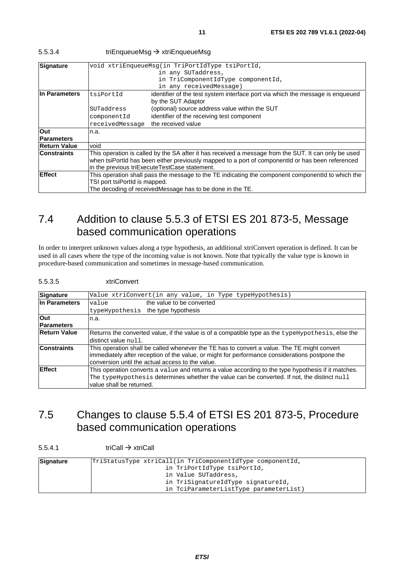| Signature                                                                                                                  | void xtriEnqueueMsq(in TriPortIdType tsiPortId,                                                   |                                                                                |  |  |  |
|----------------------------------------------------------------------------------------------------------------------------|---------------------------------------------------------------------------------------------------|--------------------------------------------------------------------------------|--|--|--|
|                                                                                                                            | in any SUTaddress,                                                                                |                                                                                |  |  |  |
|                                                                                                                            |                                                                                                   | in TriComponentIdType componentId,                                             |  |  |  |
|                                                                                                                            |                                                                                                   | in any receivedMessage)                                                        |  |  |  |
| In Parameters                                                                                                              | tsiPortId                                                                                         | identifier of the test system interface port via which the message is enqueued |  |  |  |
|                                                                                                                            |                                                                                                   | by the SUT Adaptor                                                             |  |  |  |
|                                                                                                                            | SUTaddress                                                                                        | (optional) source address value within the SUT                                 |  |  |  |
|                                                                                                                            | componentId                                                                                       | identifier of the receiving test component                                     |  |  |  |
|                                                                                                                            | receivedMessage                                                                                   | the received value                                                             |  |  |  |
| Out                                                                                                                        | n.a.                                                                                              |                                                                                |  |  |  |
| <b>Parameters</b>                                                                                                          |                                                                                                   |                                                                                |  |  |  |
| <b>Return Value</b>                                                                                                        | void                                                                                              |                                                                                |  |  |  |
| <b>Constraints</b><br>This operation is called by the SA after it has received a message from the SUT. It can only be used |                                                                                                   |                                                                                |  |  |  |
|                                                                                                                            | when tsiPortId has been either previously mapped to a port of componentId or has been referenced  |                                                                                |  |  |  |
|                                                                                                                            |                                                                                                   | in the previous triExecuteTestCase statement.                                  |  |  |  |
| <b>Effect</b>                                                                                                              | This operation shall pass the message to the TE indicating the component componentId to which the |                                                                                |  |  |  |
|                                                                                                                            | TSI port tsiPortId is mapped.                                                                     |                                                                                |  |  |  |

#### <span id="page-10-0"></span>5.5.3.4 triEnqueueMsg → xtriEnqueueMsg

### 7.4 Addition to clause 5.5.3 of ETSI ES 201 873-5, Message based communication operations

The decoding of receivedMessage has to be done in the TE.

In order to interpret unknown values along a type hypothesis, an additional xtriConvert operation is defined. It can be used in all cases where the type of the incoming value is not known. Note that typically the value type is known in procedure-based communication and sometimes in message-based communication.

#### 5.5.3.5 xtriConvert

| Signature                       | Value xtriConvert(in any value, in Type typeHypothesis)                                                                                                                                                                                           |
|---------------------------------|---------------------------------------------------------------------------------------------------------------------------------------------------------------------------------------------------------------------------------------------------|
| In Parameters                   | the value to be converted<br>value<br>typeHypothesis the type hypothesis                                                                                                                                                                          |
| <b>Out</b><br><b>Parameters</b> | n.a.                                                                                                                                                                                                                                              |
| <b>Return Value</b>             | Returns the converted value, if the value is of a compatible type as the typeHypothesis, else the<br>distinct value null.                                                                                                                         |
| <b>Constraints</b>              | This operation shall be called whenever the TE has to convert a value. The TE might convert<br>immediately after reception of the value, or might for performance considerations postpone the<br>conversion until the actual access to the value. |
| <b>Effect</b>                   | This operation converts a value and returns a value according to the type hypothesis if it matches.<br>The typeHypothesis determines whether the value can be converted. If not, the distinct null<br>value shall be returned.                    |

### 7.5 Changes to clause 5.5.4 of ETSI ES 201 873-5, Procedure based communication operations

 $5.5.4.1$  triCall  $\rightarrow$  xtriCall

| Signature | TriStatusType xtriCall(in TriComponentIdType componentId, |  |  |
|-----------|-----------------------------------------------------------|--|--|
|           | in TriPortIdType tsiPortId,                               |  |  |
|           | in Value SUTaddress,                                      |  |  |
|           | in TriSignatureIdType signatureId,                        |  |  |
|           | in TciParameterListType parameterList)                    |  |  |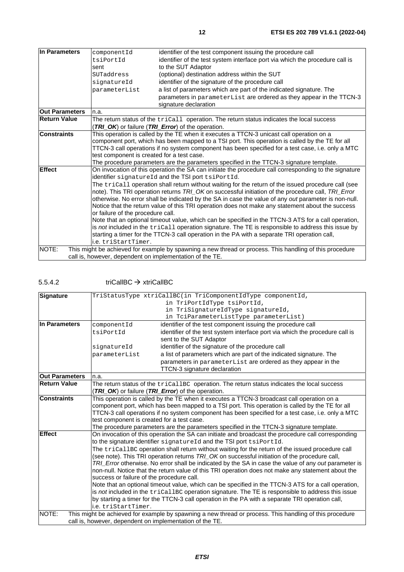| In Parameters                                                                                    | componentId                                                                                          | identifier of the test component issuing the procedure call                                             |  |  |
|--------------------------------------------------------------------------------------------------|------------------------------------------------------------------------------------------------------|---------------------------------------------------------------------------------------------------------|--|--|
|                                                                                                  | tsiPortId                                                                                            | identifier of the test system interface port via which the procedure call is                            |  |  |
|                                                                                                  | sent                                                                                                 | to the SUT Adaptor                                                                                      |  |  |
|                                                                                                  | SUTaddress                                                                                           | (optional) destination address within the SUT                                                           |  |  |
|                                                                                                  | signatureId                                                                                          | identifier of the signature of the procedure call                                                       |  |  |
|                                                                                                  | parameterList                                                                                        | a list of parameters which are part of the indicated signature. The                                     |  |  |
|                                                                                                  |                                                                                                      | parameters in parameterList are ordered as they appear in the TTCN-3                                    |  |  |
|                                                                                                  |                                                                                                      | signature declaration                                                                                   |  |  |
| <b>Out Parameters</b>                                                                            | n.a.                                                                                                 |                                                                                                         |  |  |
| <b>Return Value</b>                                                                              |                                                                                                      | The return status of the tricall operation. The return status indicates the local success               |  |  |
|                                                                                                  |                                                                                                      | (TRI_OK) or failure (TRI_Error) of the operation.                                                       |  |  |
| <b>Constraints</b>                                                                               | This operation is called by the TE when it executes a TTCN-3 unicast call operation on a             |                                                                                                         |  |  |
|                                                                                                  |                                                                                                      | component port, which has been mapped to a TSI port. This operation is called by the TE for all         |  |  |
|                                                                                                  |                                                                                                      | TTCN-3 call operations if no system component has been specified for a test case, i.e. only a MTC       |  |  |
|                                                                                                  | test component is created for a test case.                                                           |                                                                                                         |  |  |
|                                                                                                  |                                                                                                      | The procedure parameters are the parameters specified in the TTCN-3 signature template.                 |  |  |
| <b>Effect</b>                                                                                    |                                                                                                      | On invocation of this operation the SA can initiate the procedure call corresponding to the signature   |  |  |
|                                                                                                  |                                                                                                      | identifier signatureId and the TSI port tsiPortId.                                                      |  |  |
|                                                                                                  |                                                                                                      | The tricall operation shall return without waiting for the return of the issued procedure call (see     |  |  |
|                                                                                                  |                                                                                                      | note). This TRI operation returns TRI OK on successful initiation of the procedure call, TRI Error      |  |  |
|                                                                                                  | otherwise. No error shall be indicated by the SA in case the value of any out parameter is non-null. |                                                                                                         |  |  |
| Notice that the return value of this TRI operation does not make any statement about the success |                                                                                                      |                                                                                                         |  |  |
|                                                                                                  | or failure of the procedure call.                                                                    |                                                                                                         |  |  |
|                                                                                                  | Note that an optional timeout value, which can be specified in the TTCN-3 ATS for a call operation,  |                                                                                                         |  |  |
|                                                                                                  |                                                                                                      | is not included in the tricall operation signature. The TE is responsible to address this issue by      |  |  |
|                                                                                                  |                                                                                                      | starting a timer for the TTCN-3 call operation in the PA with a separate TRI operation call,            |  |  |
|                                                                                                  | i.e. triStartTimer.                                                                                  |                                                                                                         |  |  |
| NOTE:                                                                                            |                                                                                                      | This might be achieved for example by spawning a new thread or process. This handling of this procedure |  |  |
|                                                                                                  |                                                                                                      | call is, however, dependent on implementation of the TE.                                                |  |  |
|                                                                                                  |                                                                                                      |                                                                                                         |  |  |

### 5.5.4.2  $tricallyC \rightarrow xtricallyC$

| Signature             |                                                                                                      | TriStatusType xtriCallBC(in TriComponentIdType componentId,                                             |  |  |
|-----------------------|------------------------------------------------------------------------------------------------------|---------------------------------------------------------------------------------------------------------|--|--|
|                       |                                                                                                      | in TriPortIdType tsiPortId,                                                                             |  |  |
|                       |                                                                                                      | in TriSignatureIdType signatureId,                                                                      |  |  |
|                       |                                                                                                      | in TciParameterListType parameterList)                                                                  |  |  |
| In Parameters         | componentId                                                                                          | identifier of the test component issuing the procedure call                                             |  |  |
|                       | tsiPortId                                                                                            | identifier of the test system interface port via which the procedure call is                            |  |  |
|                       |                                                                                                      | sent to the SUT Adaptor                                                                                 |  |  |
|                       | signatureId                                                                                          | identifier of the signature of the procedure call                                                       |  |  |
|                       | parameterList                                                                                        | a list of parameters which are part of the indicated signature. The                                     |  |  |
|                       |                                                                                                      | parameters in parameterList are ordered as they appear in the                                           |  |  |
|                       |                                                                                                      | TTCN-3 signature declaration                                                                            |  |  |
| <b>Out Parameters</b> | n.a.                                                                                                 |                                                                                                         |  |  |
| Return Value          | The return status of the tricallBC operation. The return status indicates the local success          |                                                                                                         |  |  |
|                       |                                                                                                      | (TRI_OK) or failure (TRI_Error) of the operation.                                                       |  |  |
| <b>Constraints</b>    |                                                                                                      | This operation is called by the TE when it executes a TTCN-3 broadcast call operation on a              |  |  |
|                       |                                                                                                      | component port, which has been mapped to a TSI port. This operation is called by the TE for all         |  |  |
|                       | TTCN-3 call operations if no system component has been specified for a test case, i.e. only a MTC    |                                                                                                         |  |  |
|                       | test component is created for a test case.                                                           |                                                                                                         |  |  |
|                       |                                                                                                      | The procedure parameters are the parameters specified in the TTCN-3 signature template.                 |  |  |
| <b>Effect</b>         | On invocation of this operation the SA can initiate and broadcast the procedure call corresponding   |                                                                                                         |  |  |
|                       | to the signature identifier signatureId and the TSI port tsiPortId.                                  |                                                                                                         |  |  |
|                       | The tricallBc operation shall return without waiting for the return of the issued procedure call     |                                                                                                         |  |  |
|                       | (see note). This TRI operation returns TRI_OK on successful initiation of the procedure call,        |                                                                                                         |  |  |
|                       | TRI Error otherwise. No error shall be indicated by the SA in case the value of any out parameter is |                                                                                                         |  |  |
|                       | non-null. Notice that the return value of this TRI operation does not make any statement about the   |                                                                                                         |  |  |
|                       | success or failure of the procedure call.                                                            |                                                                                                         |  |  |
|                       | Note that an optional timeout value, which can be specified in the TTCN-3 ATS for a call operation,  |                                                                                                         |  |  |
|                       |                                                                                                      | is not included in the tricallBC operation signature. The TE is responsible to address this issue       |  |  |
|                       |                                                                                                      | by starting a timer for the TTCN-3 call operation in the PA with a separate TRI operation call,         |  |  |
|                       | i.e. triStartTimer.                                                                                  |                                                                                                         |  |  |
| NOTE:                 |                                                                                                      | This might be achieved for example by spawning a new thread or process. This handling of this procedure |  |  |
|                       |                                                                                                      | call is, however, dependent on implementation of the TE.                                                |  |  |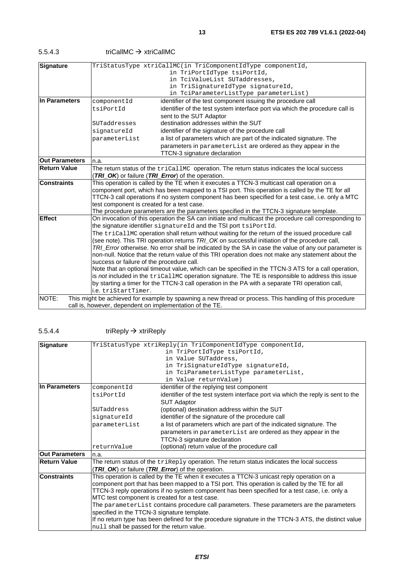| 5.5.4.3 | triCallMC $\rightarrow$ xtriCallMC |
|---------|------------------------------------|
|         |                                    |

| <b>Signature</b>                                                                                                                                                                                                    |                                                                                                                                                                           | TriStatusType xtriCallMC(in TriComponentIdType componentId,                                       |  |
|---------------------------------------------------------------------------------------------------------------------------------------------------------------------------------------------------------------------|---------------------------------------------------------------------------------------------------------------------------------------------------------------------------|---------------------------------------------------------------------------------------------------|--|
|                                                                                                                                                                                                                     | in TriPortIdType tsiPortId,                                                                                                                                               |                                                                                                   |  |
|                                                                                                                                                                                                                     |                                                                                                                                                                           | in TciValueList SUTaddresses,                                                                     |  |
|                                                                                                                                                                                                                     |                                                                                                                                                                           | in TriSignatureIdType signatureId,                                                                |  |
|                                                                                                                                                                                                                     |                                                                                                                                                                           | in TciParameterListType parameterList)                                                            |  |
| In Parameters                                                                                                                                                                                                       | componentId                                                                                                                                                               | identifier of the test component issuing the procedure call                                       |  |
|                                                                                                                                                                                                                     | tsiPortId                                                                                                                                                                 | identifier of the test system interface port via which the procedure call is                      |  |
|                                                                                                                                                                                                                     |                                                                                                                                                                           | sent to the SUT Adaptor                                                                           |  |
|                                                                                                                                                                                                                     | SUTaddresses                                                                                                                                                              | destination addresses within the SUT                                                              |  |
|                                                                                                                                                                                                                     | signatureId                                                                                                                                                               | identifier of the signature of the procedure call                                                 |  |
|                                                                                                                                                                                                                     | parameterList                                                                                                                                                             | a list of parameters which are part of the indicated signature. The                               |  |
|                                                                                                                                                                                                                     |                                                                                                                                                                           | parameters in parameterList are ordered as they appear in the                                     |  |
|                                                                                                                                                                                                                     |                                                                                                                                                                           | TTCN-3 signature declaration                                                                      |  |
| <b>Out Parameters</b>                                                                                                                                                                                               | n.a.                                                                                                                                                                      |                                                                                                   |  |
| <b>Return Value</b>                                                                                                                                                                                                 | The return status of the tricallMC operation. The return status indicates the local success                                                                               |                                                                                                   |  |
|                                                                                                                                                                                                                     |                                                                                                                                                                           | (TRI_OK) or failure (TRI_Error) of the operation.                                                 |  |
| This operation is called by the TE when it executes a TTCN-3 multicast call operation on a<br><b>Constraints</b><br>component port, which has been mapped to a TSI port. This operation is called by the TE for all |                                                                                                                                                                           |                                                                                                   |  |
|                                                                                                                                                                                                                     |                                                                                                                                                                           |                                                                                                   |  |
|                                                                                                                                                                                                                     | TTCN-3 call operations if no system component has been specified for a test case, i.e. only a MTC<br>test component is created for a test case.                           |                                                                                                   |  |
|                                                                                                                                                                                                                     |                                                                                                                                                                           |                                                                                                   |  |
|                                                                                                                                                                                                                     |                                                                                                                                                                           | The procedure parameters are the parameters specified in the TTCN-3 signature template.           |  |
| <b>Effect</b>                                                                                                                                                                                                       | On invocation of this operation the SA can initiate and multicast the procedure call corresponding to<br>the signature identifier signatureId and the TSI port tsiPortId. |                                                                                                   |  |
|                                                                                                                                                                                                                     |                                                                                                                                                                           | The tricallmc operation shall return without waiting for the return of the issued procedure call  |  |
| (see note). This TRI operation returns TRI_OK on successful initiation of the procedure call,<br>TRI_Error otherwise. No error shall be indicated by the SA in case the value of any out parameter is               |                                                                                                                                                                           |                                                                                                   |  |
|                                                                                                                                                                                                                     |                                                                                                                                                                           |                                                                                                   |  |
|                                                                                                                                                                                                                     | non-null. Notice that the return value of this TRI operation does not make any statement about the                                                                        |                                                                                                   |  |
|                                                                                                                                                                                                                     | success or failure of the procedure call.<br>Note that an optional timeout value, which can be specified in the TTCN-3 ATS for a call operation,                          |                                                                                                   |  |
|                                                                                                                                                                                                                     |                                                                                                                                                                           |                                                                                                   |  |
|                                                                                                                                                                                                                     |                                                                                                                                                                           | is not included in the tricallMC operation signature. The TE is responsible to address this issue |  |
|                                                                                                                                                                                                                     | by starting a timer for the TTCN-3 call operation in the PA with a separate TRI operation call,                                                                           |                                                                                                   |  |
|                                                                                                                                                                                                                     | i.e. triStartTimer.                                                                                                                                                       |                                                                                                   |  |
| NOTE:<br>This might be achieved for example by spawning a new thread or process. This handling of this procedure                                                                                                    |                                                                                                                                                                           |                                                                                                   |  |
|                                                                                                                                                                                                                     |                                                                                                                                                                           | call is, however, dependent on implementation of the TE.                                          |  |

#### $5.5.4.4$  triReply  $\rightarrow$  xtriReply

| Signature             |                                                                                               | TriStatusType xtriReply(in TriComponentIdType componentId,                                           |
|-----------------------|-----------------------------------------------------------------------------------------------|------------------------------------------------------------------------------------------------------|
|                       |                                                                                               | in TriPortIdType tsiPortId,                                                                          |
|                       |                                                                                               | in Value SUTaddress,                                                                                 |
|                       |                                                                                               | in TriSignatureIdType signatureId,                                                                   |
|                       |                                                                                               | in TciParameterListType parameterList,                                                               |
|                       |                                                                                               | in Value returnValue)                                                                                |
| In Parameters         | componentId                                                                                   | identifier of the replying test component                                                            |
|                       | tsiPortId                                                                                     | identifier of the test system interface port via which the reply is sent to the                      |
|                       |                                                                                               | <b>SUT Adaptor</b>                                                                                   |
|                       | SUTaddress                                                                                    | (optional) destination address within the SUT                                                        |
|                       | signatureId                                                                                   | identifier of the signature of the procedure call                                                    |
|                       | parameterList                                                                                 | a list of parameters which are part of the indicated signature. The                                  |
|                       |                                                                                               | parameters in parameterList are ordered as they appear in the                                        |
|                       |                                                                                               | TTCN-3 signature declaration                                                                         |
|                       | returnValue                                                                                   | (optional) return value of the procedure call                                                        |
| <b>Out Parameters</b> | n.a.                                                                                          |                                                                                                      |
| <b>Return Value</b>   |                                                                                               | The return status of the $\text{trikeply operation}$ . The return status indicates the local success |
|                       |                                                                                               | <b>TRI_OK</b> ) or failure (TRI_Error) of the operation.                                             |
| <b>Constraints</b>    | This operation is called by the TE when it executes a TTCN-3 unicast reply operation on a     |                                                                                                      |
|                       | component port that has been mapped to a TSI port. This operation is called by the TE for all |                                                                                                      |
|                       |                                                                                               | TTCN-3 reply operations if no system component has been specified for a test case, i.e. only a       |
|                       | MTC test component is created for a test case.                                                |                                                                                                      |
|                       |                                                                                               | The parameterList contains procedure call parameters. These parameters are the parameters            |
|                       | specified in the TTCN-3 signature template.                                                   |                                                                                                      |
|                       |                                                                                               | If no return type has been defined for the procedure signature in the TTCN-3 ATS, the distinct value |
|                       | null shall be passed for the return value.                                                    |                                                                                                      |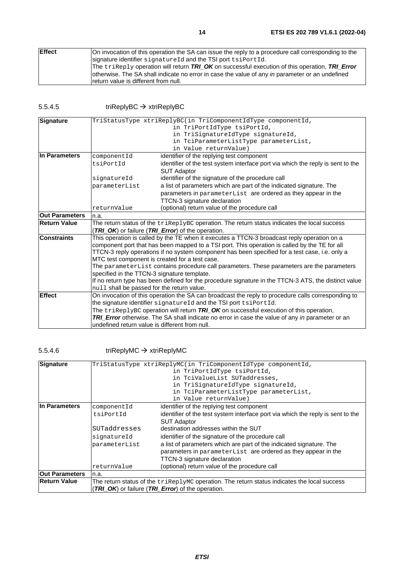| <b>Effect</b> | On invocation of this operation the SA can issue the reply to a procedure call corresponding to the     |
|---------------|---------------------------------------------------------------------------------------------------------|
|               | signature identifier signatureld and the TSI port tsiportid.                                            |
|               | The $\text{trikeply operation}$ will return TRI OK on successful execution of this operation, TRI Error |
|               | otherwise. The SA shall indicate no error in case the value of any in parameter or an undefined         |
|               | Ireturn value is different from null.                                                                   |

5.5.4.5  $triangle \rightarrow$  xtriReplyBC

| Signature             |                                                                                                                                                                                                                                                                                                                                                                                                      | TriStatusType xtriReplyBC(in TriComponentIdType componentId,                                       |  |
|-----------------------|------------------------------------------------------------------------------------------------------------------------------------------------------------------------------------------------------------------------------------------------------------------------------------------------------------------------------------------------------------------------------------------------------|----------------------------------------------------------------------------------------------------|--|
|                       |                                                                                                                                                                                                                                                                                                                                                                                                      | in TriPortIdType tsiPortId,                                                                        |  |
|                       |                                                                                                                                                                                                                                                                                                                                                                                                      | in TriSignatureIdType signatureId,                                                                 |  |
|                       |                                                                                                                                                                                                                                                                                                                                                                                                      | in TciParameterListType parameterList,                                                             |  |
|                       |                                                                                                                                                                                                                                                                                                                                                                                                      | in Value returnValue)                                                                              |  |
| In Parameters         | componentId                                                                                                                                                                                                                                                                                                                                                                                          | identifier of the replying test component                                                          |  |
|                       | tsiPortId                                                                                                                                                                                                                                                                                                                                                                                            | identifier of the test system interface port via which the reply is sent to the                    |  |
|                       |                                                                                                                                                                                                                                                                                                                                                                                                      | <b>SUT Adaptor</b>                                                                                 |  |
|                       | signatureId                                                                                                                                                                                                                                                                                                                                                                                          | identifier of the signature of the procedure call                                                  |  |
|                       | parameterList                                                                                                                                                                                                                                                                                                                                                                                        | a list of parameters which are part of the indicated signature. The                                |  |
|                       |                                                                                                                                                                                                                                                                                                                                                                                                      | parameters in parameterList are ordered as they appear in the                                      |  |
|                       |                                                                                                                                                                                                                                                                                                                                                                                                      | TTCN-3 signature declaration                                                                       |  |
|                       | returnValue                                                                                                                                                                                                                                                                                                                                                                                          | (optional) return value of the procedure call                                                      |  |
| <b>Out Parameters</b> | n.a.                                                                                                                                                                                                                                                                                                                                                                                                 |                                                                                                    |  |
| <b>Return Value</b>   | The return status of the triReplyBC operation. The return status indicates the local success                                                                                                                                                                                                                                                                                                         |                                                                                                    |  |
|                       | (TRI_OK) or failure (TRI_Error) of the operation.                                                                                                                                                                                                                                                                                                                                                    |                                                                                                    |  |
| <b>Constraints</b>    | This operation is called by the TE when it executes a TTCN-3 broadcast reply operation on a                                                                                                                                                                                                                                                                                                          |                                                                                                    |  |
|                       | component port that has been mapped to a TSI port. This operation is called by the TE for all                                                                                                                                                                                                                                                                                                        |                                                                                                    |  |
|                       | TTCN-3 reply operations if no system component has been specified for a test case, i.e. only a<br>MTC test component is created for a test case.<br>The parameterList contains procedure call parameters. These parameters are the parameters<br>specified in the TTCN-3 signature template.<br>If no return type has been defined for the procedure signature in the TTCN-3 ATS, the distinct value |                                                                                                    |  |
|                       |                                                                                                                                                                                                                                                                                                                                                                                                      |                                                                                                    |  |
|                       |                                                                                                                                                                                                                                                                                                                                                                                                      |                                                                                                    |  |
|                       |                                                                                                                                                                                                                                                                                                                                                                                                      |                                                                                                    |  |
|                       |                                                                                                                                                                                                                                                                                                                                                                                                      |                                                                                                    |  |
|                       | null shall be passed for the return value.                                                                                                                                                                                                                                                                                                                                                           |                                                                                                    |  |
| <b>Effect</b>         |                                                                                                                                                                                                                                                                                                                                                                                                      | On invocation of this operation the SA can broadcast the reply to procedure calls corresponding to |  |
|                       |                                                                                                                                                                                                                                                                                                                                                                                                      | the signature identifier signatureId and the TSI port tsiPortId.                                   |  |
|                       |                                                                                                                                                                                                                                                                                                                                                                                                      | The $\text{trigen}$ yBC operation will return TRI_OK on successful execution of this operation,    |  |
|                       |                                                                                                                                                                                                                                                                                                                                                                                                      | TRI_Error otherwise. The SA shall indicate no error in case the value of any in parameter or an    |  |
|                       | undefined return value is different from null.                                                                                                                                                                                                                                                                                                                                                       |                                                                                                    |  |

### 5.5.4.6  $\qquad \qquad \text{triReplyMC} \rightarrow \text{xtriReplyMC}$

| Signature             | TriStatusType xtriReplyMC(in TriComponentIdType componentId,                                          |                                                                                 |  |
|-----------------------|-------------------------------------------------------------------------------------------------------|---------------------------------------------------------------------------------|--|
|                       |                                                                                                       | in TriPortIdType tsiPortId,                                                     |  |
|                       | in TciValueList SUTaddresses,                                                                         |                                                                                 |  |
|                       |                                                                                                       | in TriSignatureIdType signatureId,                                              |  |
|                       |                                                                                                       | in TciParameterListType parameterList,                                          |  |
|                       |                                                                                                       | in Value returnValue)                                                           |  |
| In Parameters         | componentId                                                                                           | identifier of the replying test component                                       |  |
|                       | tsiPortId                                                                                             | identifier of the test system interface port via which the reply is sent to the |  |
|                       |                                                                                                       | <b>SUT Adaptor</b>                                                              |  |
|                       | SUTaddresses                                                                                          | destination addresses within the SUT                                            |  |
|                       | signatureId                                                                                           | identifier of the signature of the procedure call                               |  |
|                       | parameterList                                                                                         | a list of parameters which are part of the indicated signature. The             |  |
|                       |                                                                                                       | parameters in parameterList are ordered as they appear in the                   |  |
|                       |                                                                                                       | TTCN-3 signature declaration                                                    |  |
|                       | returnValue                                                                                           | (optional) return value of the procedure call                                   |  |
| <b>Out Parameters</b> | In.a.                                                                                                 |                                                                                 |  |
| <b>Return Value</b>   | The return status of the $\text{trikeplyMC}$ operation. The return status indicates the local success |                                                                                 |  |
|                       |                                                                                                       | (TRI_OK) or failure (TRI_Error) of the operation.                               |  |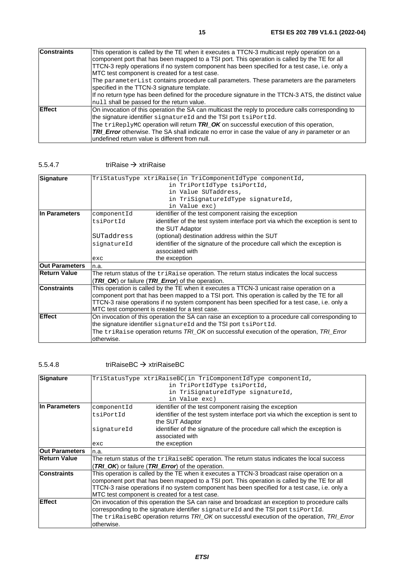|                | If no return type has been defined for the procedure signature in the TTCN-3 ATS, the distinct value   |
|----------------|--------------------------------------------------------------------------------------------------------|
|                | null shall be passed for the return value.                                                             |
| <b>IEffect</b> | On invocation of this operation the SA can multicast the reply to procedure calls corresponding to     |
|                | the signature identifier signatureId and the TSI port tsiPortId.                                       |
|                | The triReplyMC operation will return TRI_OK on successful execution of this operation,                 |
|                | <b>TRI_Error</b> otherwise. The SA shall indicate no error in case the value of any in parameter or an |
|                | undefined return value is different from null.                                                         |

#### 5.5.4.7 triRaise  $\rightarrow$  xtriRaise

| Signature             |                                                                                                    | TriStatusType xtriRaise(in TriComponentIdType componentId,                                 |  |
|-----------------------|----------------------------------------------------------------------------------------------------|--------------------------------------------------------------------------------------------|--|
|                       |                                                                                                    |                                                                                            |  |
|                       | in TriPortIdType tsiPortId,                                                                        |                                                                                            |  |
|                       |                                                                                                    | in Value SUTaddress,                                                                       |  |
|                       |                                                                                                    | in TriSignatureIdType signatureId,                                                         |  |
|                       |                                                                                                    | in Value exc)                                                                              |  |
| In Parameters         | componentId                                                                                        | identifier of the test component raising the exception                                     |  |
|                       | tsiPortId                                                                                          | identifier of the test system interface port via which the exception is sent to            |  |
|                       |                                                                                                    | the SUT Adaptor                                                                            |  |
|                       | SUTaddress                                                                                         | (optional) destination address within the SUT                                              |  |
|                       | signatureId                                                                                        | identifier of the signature of the procedure call which the exception is                   |  |
|                       |                                                                                                    | associated with                                                                            |  |
|                       | exc                                                                                                | the exception                                                                              |  |
| <b>Out Parameters</b> | n.a.                                                                                               |                                                                                            |  |
| <b>Return Value</b>   |                                                                                                    | The return status of the triRaise operation. The return status indicates the local success |  |
|                       |                                                                                                    | (TRI_OK) or failure (TRI_Error) of the operation.                                          |  |
| <b>Constraints</b>    | This operation is called by the TE when it executes a TTCN-3 unicast raise operation on a          |                                                                                            |  |
|                       | component port that has been mapped to a TSI port. This operation is called by the TE for all      |                                                                                            |  |
|                       | TTCN-3 raise operations if no system component has been specified for a test case, i.e. only a     |                                                                                            |  |
|                       | MTC test component is created for a test case.                                                     |                                                                                            |  |
| <b>Effect</b>         | On invocation of this operation the SA can raise an exception to a procedure call corresponding to |                                                                                            |  |
|                       | the signature identifier signatureId and the TSI port tsiPortId.                                   |                                                                                            |  |
|                       |                                                                                                    |                                                                                            |  |
|                       |                                                                                                    | The triRaise operation returns TRI_OK on successful execution of the operation, TRI_Error  |  |
|                       | otherwise.                                                                                         |                                                                                            |  |

#### 5.5.4.8 triRaiseBC xtriRaiseBC

| Signature             | TriStatusType xtriRaiseBC(in TriComponentIdType componentId,                                                                                                                                                                                                                                                                                                          |                                                                                 |  |
|-----------------------|-----------------------------------------------------------------------------------------------------------------------------------------------------------------------------------------------------------------------------------------------------------------------------------------------------------------------------------------------------------------------|---------------------------------------------------------------------------------|--|
|                       | in TriPortIdType tsiPortId,                                                                                                                                                                                                                                                                                                                                           |                                                                                 |  |
|                       | in TriSignatureIdType signatureId,                                                                                                                                                                                                                                                                                                                                    |                                                                                 |  |
|                       | in Value exc)                                                                                                                                                                                                                                                                                                                                                         |                                                                                 |  |
| In Parameters         | identifier of the test component raising the exception<br>componentId                                                                                                                                                                                                                                                                                                 |                                                                                 |  |
|                       | tsiPortId                                                                                                                                                                                                                                                                                                                                                             | identifier of the test system interface port via which the exception is sent to |  |
|                       |                                                                                                                                                                                                                                                                                                                                                                       | the SUT Adaptor                                                                 |  |
|                       |                                                                                                                                                                                                                                                                                                                                                                       |                                                                                 |  |
|                       | signatureId                                                                                                                                                                                                                                                                                                                                                           | identifier of the signature of the procedure call which the exception is        |  |
|                       |                                                                                                                                                                                                                                                                                                                                                                       | associated with                                                                 |  |
|                       | exc                                                                                                                                                                                                                                                                                                                                                                   | the exception                                                                   |  |
| <b>Out Parameters</b> | n.a.                                                                                                                                                                                                                                                                                                                                                                  |                                                                                 |  |
| <b>Return Value</b>   | The return status of the $\text{trikaiseBC}$ operation. The return status indicates the local success                                                                                                                                                                                                                                                                 |                                                                                 |  |
|                       | <b>TRI_OK</b> ) or failure (TRI_Error) of the operation.                                                                                                                                                                                                                                                                                                              |                                                                                 |  |
| <b>Constraints</b>    | This operation is called by the TE when it executes a TTCN-3 broadcast raise operation on a                                                                                                                                                                                                                                                                           |                                                                                 |  |
|                       | component port that has been mapped to a TSI port. This operation is called by the TE for all                                                                                                                                                                                                                                                                         |                                                                                 |  |
|                       | TTCN-3 raise operations if no system component has been specified for a test case, i.e. only a                                                                                                                                                                                                                                                                        |                                                                                 |  |
|                       |                                                                                                                                                                                                                                                                                                                                                                       |                                                                                 |  |
| <b>Effect</b>         |                                                                                                                                                                                                                                                                                                                                                                       |                                                                                 |  |
|                       |                                                                                                                                                                                                                                                                                                                                                                       |                                                                                 |  |
|                       |                                                                                                                                                                                                                                                                                                                                                                       |                                                                                 |  |
|                       | otherwise.                                                                                                                                                                                                                                                                                                                                                            |                                                                                 |  |
|                       | MTC test component is created for a test case.<br>On invocation of this operation the SA can raise and broadcast an exception to procedure calls<br>corresponding to the signature identifier signatureId and the TSI port tsiPortId.<br>The $\texttt{trikaiseBC}$ operation returns $\textit{TRI}$ OK on successful execution of the operation, $\textit{TRI}$ Error |                                                                                 |  |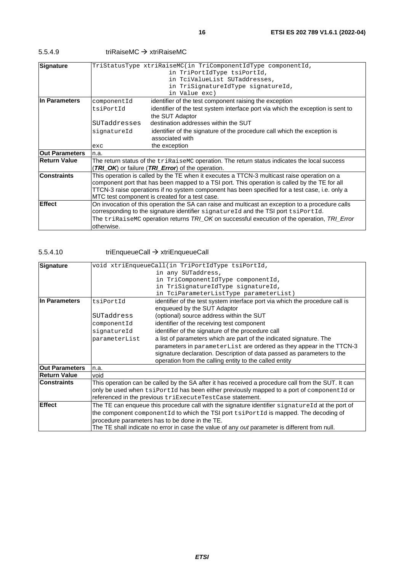5.5.4.9 triRaiseMC xtriRaiseMC

| Signature             | TriStatusType xtriRaiseMC(in TriComponentIdType componentId,                                          |                                                                                             |  |
|-----------------------|-------------------------------------------------------------------------------------------------------|---------------------------------------------------------------------------------------------|--|
|                       | in TriPortIdType tsiPortId,                                                                           |                                                                                             |  |
|                       | in TciValueList SUTaddresses,                                                                         |                                                                                             |  |
|                       | in TriSignatureIdType signatureId,                                                                    |                                                                                             |  |
|                       |                                                                                                       | in Value exc)                                                                               |  |
| In Parameters         | identifier of the test component raising the exception<br>componentId                                 |                                                                                             |  |
|                       | tsiPortId                                                                                             | identifier of the test system interface port via which the exception is sent to             |  |
|                       |                                                                                                       | the SUT Adaptor                                                                             |  |
|                       | SUTaddresses                                                                                          | destination addresses within the SUT                                                        |  |
|                       | signatureId                                                                                           | identifier of the signature of the procedure call which the exception is                    |  |
|                       |                                                                                                       | associated with                                                                             |  |
|                       | exc                                                                                                   | the exception                                                                               |  |
| <b>Out Parameters</b> | n.a.                                                                                                  |                                                                                             |  |
| <b>Return Value</b>   | The return status of the $\text{trikaiseMC}$ operation. The return status indicates the local success |                                                                                             |  |
|                       | (TRI_OK) or failure (TRI_Error) of the operation.                                                     |                                                                                             |  |
| <b>Constraints</b>    | This operation is called by the TE when it executes a TTCN-3 multicast raise operation on a           |                                                                                             |  |
|                       | component port that has been mapped to a TSI port. This operation is called by the TE for all         |                                                                                             |  |
|                       | TTCN-3 raise operations if no system component has been specified for a test case, i.e. only a        |                                                                                             |  |
|                       | MTC test component is created for a test case.                                                        |                                                                                             |  |
| <b>Effect</b>         | On invocation of this operation the SA can raise and multicast an exception to a procedure calls      |                                                                                             |  |
|                       |                                                                                                       | corresponding to the signature identifier signatureId and the TSI port tsiPortId.           |  |
|                       |                                                                                                       | The triRaiseMC operation returns TRI_OK on successful execution of the operation, TRI_Error |  |
|                       | otherwise.                                                                                            |                                                                                             |  |
|                       |                                                                                                       |                                                                                             |  |

### 5.5.4.10 triEnqueueCall → xtriEnqueueCall

| <b>Signature</b>      | void xtriEnqueueCall(in TriPortIdType tsiPortId,                                                     |                                                                                      |  |
|-----------------------|------------------------------------------------------------------------------------------------------|--------------------------------------------------------------------------------------|--|
|                       |                                                                                                      | in any SUTaddress,                                                                   |  |
|                       | in TriComponentIdType componentId,                                                                   |                                                                                      |  |
|                       |                                                                                                      | in TriSignatureIdType signatureId,                                                   |  |
|                       |                                                                                                      | in TciParameterListType parameterList)                                               |  |
| <b>In Parameters</b>  | identifier of the test system interface port via which the procedure call is<br>tsiPortId            |                                                                                      |  |
|                       |                                                                                                      | enqueued by the SUT Adaptor                                                          |  |
|                       | SUTaddress                                                                                           | (optional) source address within the SUT                                             |  |
|                       | componentId                                                                                          | identifier of the receiving test component                                           |  |
|                       | signatureId                                                                                          | identifier of the signature of the procedure call                                    |  |
|                       | parameterList                                                                                        | a list of parameters which are part of the indicated signature. The                  |  |
|                       |                                                                                                      | parameters in parameterList are ordered as they appear in the TTCN-3                 |  |
|                       |                                                                                                      | signature declaration. Description of data passed as parameters to the               |  |
|                       | operation from the calling entity to the called entity                                               |                                                                                      |  |
| <b>Out Parameters</b> | n.a.                                                                                                 |                                                                                      |  |
| <b>Return Value</b>   | void                                                                                                 |                                                                                      |  |
| <b>Constraints</b>    | This operation can be called by the SA after it has received a procedure call from the SUT. It can   |                                                                                      |  |
|                       | only be used when tsiPortId has been either previously mapped to a port of componentId or            |                                                                                      |  |
|                       | referenced in the previous triExecuteTestCase statement.                                             |                                                                                      |  |
| Effect                | The TE can enqueue this procedure call with the signature identifier signatureId at the port of      |                                                                                      |  |
|                       |                                                                                                      | the component componentid to which the TSI port tsiPortid is mapped. The decoding of |  |
|                       |                                                                                                      | procedure parameters has to be done in the TE.                                       |  |
|                       | The TE shall indicate no error in case the value of any <i>out</i> parameter is different from null. |                                                                                      |  |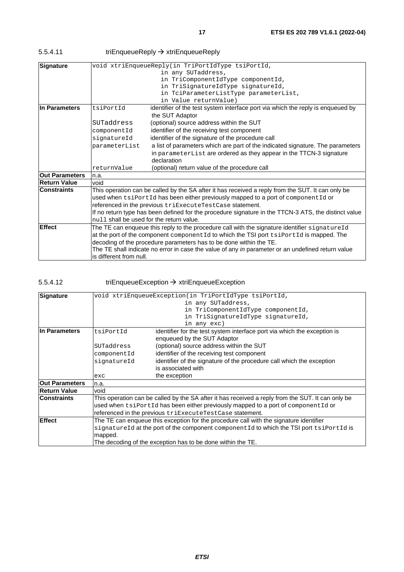| 5.5.4.11 | triEnqueueReply $\rightarrow$ xtriEnqueueReply |
|----------|------------------------------------------------|
|          |                                                |

| void xtriEnqueueReply(in TriPortIdType tsiPortId,<br><b>Signature</b><br>in any SUTaddress,<br>in TriComponentIdType componentId,<br>in TriSignatureIdType signatureId,<br>in TciParameterListType parameterList, |
|-------------------------------------------------------------------------------------------------------------------------------------------------------------------------------------------------------------------|
|                                                                                                                                                                                                                   |
|                                                                                                                                                                                                                   |
|                                                                                                                                                                                                                   |
|                                                                                                                                                                                                                   |
|                                                                                                                                                                                                                   |
| in Value returnValue)                                                                                                                                                                                             |
| lIn Parameters<br>tsiPortId<br>identifier of the test system interface port via which the reply is enqueued by                                                                                                    |
| the SUT Adaptor                                                                                                                                                                                                   |
| SUTaddress<br>(optional) source address within the SUT                                                                                                                                                            |
| identifier of the receiving test component<br>componentId                                                                                                                                                         |
| identifier of the signature of the procedure call<br>signatureId                                                                                                                                                  |
| a list of parameters which are part of the indicated signature. The parameters<br>parameterList                                                                                                                   |
| in parameterList are ordered as they appear in the TTCN-3 signature                                                                                                                                               |
| declaration                                                                                                                                                                                                       |
| (optional) return value of the procedure call<br>returnValue                                                                                                                                                      |
| <b>Out Parameters</b><br>n.a.                                                                                                                                                                                     |
| <b>Return Value</b><br>void                                                                                                                                                                                       |
| This operation can be called by the SA after it has received a reply from the SUT. It can only be<br><b>Constraints</b>                                                                                           |
| used when tsiPortId has been either previously mapped to a port of componentId or                                                                                                                                 |
| referenced in the previous triExecuteTestCase statement.                                                                                                                                                          |
| If no return type has been defined for the procedure signature in the TTCN-3 ATS, the distinct value                                                                                                              |
| mull shall be used for the return value.                                                                                                                                                                          |
| <b>Effect</b><br>The TE can enqueue this reply to the procedure call with the signature identifier signatureId                                                                                                    |
| at the port of the component component Id to which the TSI port tsiPortId is mapped. The                                                                                                                          |
| decoding of the procedure parameters has to be done within the TE.                                                                                                                                                |
| The TE shall indicate no error in case the value of any in parameter or an undefined return value                                                                                                                 |
| is different from null.                                                                                                                                                                                           |

### 5.5.4.12 triEnqueueException xtriEnqueueException

| <b>Signature</b>      | void xtriEnqueueException(in TriPortIdType tsiPortId,                                             |                                                                                         |  |  |
|-----------------------|---------------------------------------------------------------------------------------------------|-----------------------------------------------------------------------------------------|--|--|
|                       | in any SUTaddress,                                                                                |                                                                                         |  |  |
|                       | in TriComponentIdType componentId,                                                                |                                                                                         |  |  |
|                       | in TriSignatureIdType signatureId,                                                                |                                                                                         |  |  |
|                       | in any exc)                                                                                       |                                                                                         |  |  |
| lIn Parameters        | identifier for the test system interface port via which the exception is<br>tsiPortId             |                                                                                         |  |  |
|                       |                                                                                                   | enqueued by the SUT Adaptor                                                             |  |  |
|                       | (optional) source address within the SUT<br>SUTaddress                                            |                                                                                         |  |  |
|                       | identifier of the receiving test component<br>componentId                                         |                                                                                         |  |  |
|                       | identifier of the signature of the procedure call which the exception<br>signatureId              |                                                                                         |  |  |
|                       | is associated with                                                                                |                                                                                         |  |  |
|                       | the exception<br>exc                                                                              |                                                                                         |  |  |
| <b>Out Parameters</b> | n.a.                                                                                              |                                                                                         |  |  |
| Return Value          | void                                                                                              |                                                                                         |  |  |
| <b>Constraints</b>    | This operation can be called by the SA after it has received a reply from the SUT. It can only be |                                                                                         |  |  |
|                       | used when $tsiportId$ has been either previously mapped to a port of componentid or               |                                                                                         |  |  |
|                       | referenced in the previous triExecuteTestCase statement.                                          |                                                                                         |  |  |
| <b>Effect</b>         | The TE can enqueue this exception for the procedure call with the signature identifier            |                                                                                         |  |  |
|                       |                                                                                                   | signatureId at the port of the component componentId to which the TSI port tsiPortId is |  |  |
|                       | mapped.                                                                                           |                                                                                         |  |  |
|                       |                                                                                                   | The decoding of the exception has to be done within the TE.                             |  |  |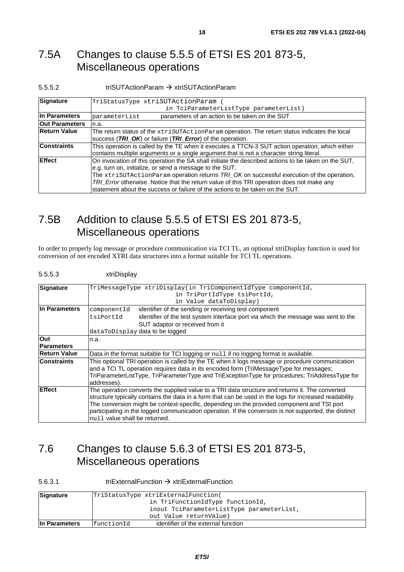### <span id="page-17-0"></span>7.5A Changes to clause 5.5.5 of ETSI ES 201 873-5, Miscellaneous operations

#### 5.5.5.2 triSUTActionParam xtriSUTActionParam

| Signature             | TriStatusType xtriSUTActionParam (                                                                  |  |  |
|-----------------------|-----------------------------------------------------------------------------------------------------|--|--|
|                       | in TciParameterListType parameterList)                                                              |  |  |
| In Parameters         | parameters of an action to be taken on the SUT<br>parameterList                                     |  |  |
| <b>Out Parameters</b> | n.a.                                                                                                |  |  |
| <b>Return Value</b>   | The return status of the $x$ tri $s$ UTActionParam operation. The return status indicates the local |  |  |
|                       | success (TRI_OK) or failure (TRI_Error) of the operation.                                           |  |  |
| <b>Constraints</b>    | This operation is called by the TE when it executes a TTCN-3 SUT action operation, which either     |  |  |
|                       | contains multiple arguments or a single argument that is not a character string literal.            |  |  |
| <b>Effect</b>         | On invocation of this operation the SA shall initiate the described actions to be taken on the SUT, |  |  |
|                       | e.g. turn on, initialize, or send a message to the SUT.                                             |  |  |
|                       | The $x$ triSUTActionParam operation returns $TR\_{OK}$ OK on successful execution of the operation, |  |  |
|                       | TRI_Error otherwise. Notice that the return value of this TRI operation does not make any           |  |  |
|                       | statement about the success or failure of the actions to be taken on the SUT.                       |  |  |

### 7.5B Addition to clause 5.5.5 of ETSI ES 201 873-5, Miscellaneous operations

In order to properly log message or procedure communication via TCI TL, an optional xtriDisplay function is used for conversion of not encoded XTRI data structures into a format suitable for TCI TL operations.

#### 5.5.5.3 xtriDisplay

| <b>Signature</b>                                                                                          | TriMessageType xtriDisplay(in TriComponentIdType componentId,                                           |  |  |  |
|-----------------------------------------------------------------------------------------------------------|---------------------------------------------------------------------------------------------------------|--|--|--|
|                                                                                                           | in TriPortIdType tsiPortId,                                                                             |  |  |  |
|                                                                                                           | in Value dataToDisplay)                                                                                 |  |  |  |
| In Parameters                                                                                             | identifier of the sending or receiving test component<br>componentId                                    |  |  |  |
|                                                                                                           | identifier of the test system interface port via which the message was sent to the<br>tsiPortId         |  |  |  |
|                                                                                                           | SUT adaptor or received from it                                                                         |  |  |  |
|                                                                                                           | dataToDisplay data to be logged                                                                         |  |  |  |
| Out                                                                                                       | n.a.                                                                                                    |  |  |  |
| <b>Parameters</b>                                                                                         |                                                                                                         |  |  |  |
| <b>Return Value</b>                                                                                       | Data in the format suitable for TCI logging or null if no logging format is available.                  |  |  |  |
| <b>Constraints</b>                                                                                        | This optional TRI operation is called by the TE when it logs message or procedure communication         |  |  |  |
|                                                                                                           | and a TCI TL operation requires data in its encoded form (TriMessageType for messages;                  |  |  |  |
|                                                                                                           | TriParameterListType, TriParameterType and TriExceptionType for procedures; TriAddressType for          |  |  |  |
|                                                                                                           | addresses).                                                                                             |  |  |  |
| Effect<br>The operation converts the supplied value to a TRI data structure and returns it. The converted |                                                                                                         |  |  |  |
|                                                                                                           | structure typically contains the data in a form that can be used in the logs for increased readability. |  |  |  |
|                                                                                                           | The conversion might be context-specific, depending on the provided component and TSI port              |  |  |  |
|                                                                                                           | participating in the logged communication operation. If the conversion is not supported, the distinct   |  |  |  |
|                                                                                                           | null value shall be returned.                                                                           |  |  |  |

### 7.6 Changes to clause 5.6.3 of ETSI ES 201 873-5, Miscellaneous operations

#### 5.6.3.1 triExternalFunction xtriExternalFunction

| Signature     | TriStatusType xtriExternalFunction(       |                                     |  |
|---------------|-------------------------------------------|-------------------------------------|--|
|               | in TriFunctionIdType functionId,          |                                     |  |
|               | inout TciParameterListType parameterList, |                                     |  |
|               |                                           | out Value returnValue)              |  |
| In Parameters | functionId                                | identifier of the external function |  |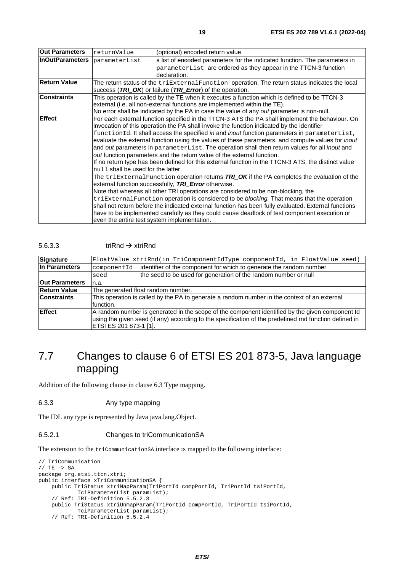<span id="page-18-0"></span>

| <b>Out Parameters</b>                                                                                     | returnValue                                                                                         | (optional) encoded return value                                                                       |  |
|-----------------------------------------------------------------------------------------------------------|-----------------------------------------------------------------------------------------------------|-------------------------------------------------------------------------------------------------------|--|
| <b>InOutParameters</b>                                                                                    | parameterList                                                                                       | a list of encoded parameters for the indicated function. The parameters in                            |  |
|                                                                                                           |                                                                                                     | parameterList are ordered as they appear in the TTCN-3 function                                       |  |
|                                                                                                           |                                                                                                     | declaration.                                                                                          |  |
| <b>Return Value</b>                                                                                       |                                                                                                     | The return status of the $\text{trikternalFunction}$ operation. The return status indicates the local |  |
|                                                                                                           | success (TRI_OK) or failure (TRI_Error) of the operation.                                           |                                                                                                       |  |
| <b>Constraints</b>                                                                                        | This operation is called by the TE when it executes a function which is defined to be TTCN-3        |                                                                                                       |  |
|                                                                                                           |                                                                                                     | external (i.e. all non-external functions are implemented within the TE).                             |  |
|                                                                                                           |                                                                                                     | No error shall be indicated by the PA in case the value of any out parameter is non-null.             |  |
| Effect<br>For each external function specified in the TTCN-3 ATS the PA shall implement the behaviour. On |                                                                                                     |                                                                                                       |  |
|                                                                                                           |                                                                                                     | invocation of this operation the PA shall invoke the function indicated by the identifier             |  |
|                                                                                                           | functionId. It shall access the specified in and inout function parameters in parameterList,        |                                                                                                       |  |
|                                                                                                           | evaluate the external function using the values of these parameters, and compute values for inout   |                                                                                                       |  |
|                                                                                                           | and out parameters in parameterList. The operation shall then return values for all inout and       |                                                                                                       |  |
|                                                                                                           | out function parameters and the return value of the external function.                              |                                                                                                       |  |
|                                                                                                           | If no return type has been defined for this external function in the TTCN-3 ATS, the distinct value |                                                                                                       |  |
|                                                                                                           | null shall be used for the latter.                                                                  |                                                                                                       |  |
|                                                                                                           | The $\text{trikternalFunction}$ operation returns TRI_OK if the PA completes the evaluation of the  |                                                                                                       |  |
|                                                                                                           |                                                                                                     | external function successfully, TRI_Error otherwise.                                                  |  |
|                                                                                                           |                                                                                                     | Note that whereas all other TRI operations are considered to be non-blocking, the                     |  |
|                                                                                                           |                                                                                                     | triExternalFunction operation is considered to be blocking. That means that the operation             |  |
|                                                                                                           |                                                                                                     | shall not return before the indicated external function has been fully evaluated. External functions  |  |
|                                                                                                           |                                                                                                     | have to be implemented carefully as they could cause deadlock of test component execution or          |  |
|                                                                                                           | even the entire test system implementation.                                                         |                                                                                                       |  |

#### 5.6.3.3 triRnd  $\rightarrow$  xtriRnd

| Signature             | FloatValue xtriRnd(in TriComponentIdType componentId, in FloatValue seed)                                                                                                                                                            |  |  |
|-----------------------|--------------------------------------------------------------------------------------------------------------------------------------------------------------------------------------------------------------------------------------|--|--|
| In Parameters         | identifier of the component for which to generate the random number<br>componentId                                                                                                                                                   |  |  |
|                       | the seed to be used for generation of the random number or null<br>seed                                                                                                                                                              |  |  |
| <b>Out Parameters</b> | n.a.                                                                                                                                                                                                                                 |  |  |
| <b>Return Value</b>   | The generated float random number.                                                                                                                                                                                                   |  |  |
| <b>Constraints</b>    | This operation is called by the PA to generate a random number in the context of an external<br>function.                                                                                                                            |  |  |
| Effect                | A random number is generated in the scope of the component identified by the given component Id<br>using the given seed (if any) according to the specification of the predefined rnd function defined in<br> ETSI ES 201 873-1 [1]. |  |  |

### 7.7 Changes to clause 6 of ETSI ES 201 873-5, Java language mapping

Addition of the following clause in clause 6.3 Type mapping.

#### 6.3.3 Any type mapping

The IDL any type is represented by Java java.lang.Object.

#### 6.5.2.1 Changes to triCommunicationSA

The extension to the triCommunicationSA interface is mapped to the following interface:

```
// TriCommunication 
// TE -> SA 
package org.etsi.ttcn.xtri; 
public interface xTriCommunicationSA { 
    public TriStatus xtriMapParam(TriPortId compPortId, TriPortId tsiPortId, 
            TciParameterList paramList); 
     // Ref: TRI-Definition 5.5.2.3 
    public TriStatus xtriUnmapParam(TriPortId compPortId, TriPortId tsiPortId, 
 TciParameterList paramList); 
 // Ref: TRI-Definition 5.5.2.4
```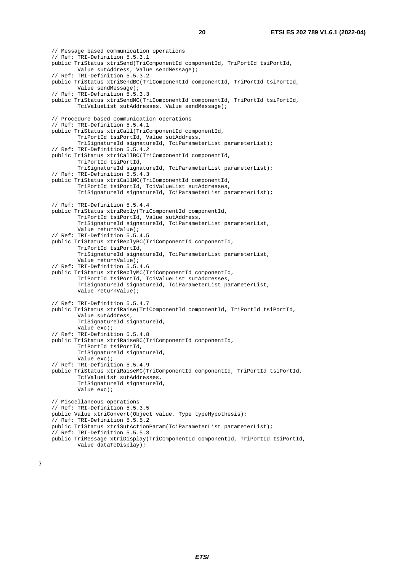// Message based communication operations // Ref: TRI-Definition 5.5.3.1 public TriStatus xtriSend(TriComponentId componentId, TriPortId tsiPortId, Value sutAddress, Value sendMessage); // Ref: TRI-Definition 5.5.3.2 public TriStatus xtriSendBC(TriComponentId componentId, TriPortId tsiPortId, Value sendMessage); // Ref: TRI-Definition 5.5.3.3 public TriStatus xtriSendMC(TriComponentId componentId, TriPortId tsiPortId, TciValueList sutAddresses, Value sendMessage); // Procedure based communication operations // Ref: TRI-Definition 5.5.4.1 public TriStatus xtriCall(TriComponentId componentId, TriPortId tsiPortId, Value sutAddress, TriSignatureId signatureId, TciParameterList parameterList); // Ref: TRI-Definition 5.5.4.2 public TriStatus xtriCallBC(TriComponentId componentId, TriPortId tsiPortId, TriSignatureId signatureId, TciParameterList parameterList); // Ref: TRI-Definition 5.5.4.3 public TriStatus xtriCallMC(TriComponentId componentId, TriPortId tsiPortId, TciValueList sutAddresses, TriSignatureId signatureId, TciParameterList parameterList); // Ref: TRI-Definition 5.5.4.4 public TriStatus xtriReply(TriComponentId componentId, TriPortId tsiPortId, Value sutAddress, TriSignatureId signatureId, TciParameterList parameterList, Value returnValue); // Ref: TRI-Definition 5.5.4.5 public TriStatus xtriReplyBC(TriComponentId componentId, TriPortId tsiPortId, TriSignatureId signatureId, TciParameterList parameterList, Value returnValue); // Ref: TRI-Definition 5.5.4.6 public TriStatus xtriReplyMC(TriComponentId componentId, TriPortId tsiPortId, TciValueList sutAddresses, TriSignatureId signatureId, TciParameterList parameterList, Value returnValue); // Ref: TRI-Definition 5.5.4.7 public TriStatus xtriRaise(TriComponentId componentId, TriPortId tsiPortId, Value sutAddress, TriSignatureId signatureId, Value exc); // Ref: TRI-Definition 5.5.4.8 public TriStatus xtriRaiseBC(TriComponentId componentId, TriPortId tsiPortId, TriSignatureId signatureId, Value exc); // Ref: TRI-Definition 5.5.4.9 public TriStatus xtriRaiseMC(TriComponentId componentId, TriPortId tsiPortId, TciValueList sutAddresses, TriSignatureId signatureId, Value exc); // Miscellaneous operations // Ref: TRI-Definition 5.5.3.5 public Value xtriConvert(Object value, Type typeHypothesis); // Ref: TRI-Definition 5.5.5.2 public TriStatus xtriSutActionParam(TciParameterList parameterList); // Ref: TRI-Definition 5.5.5.3 public TriMessage xtriDisplay(TriComponentId componentId, TriPortId tsiPortId, Value dataToDisplay);

}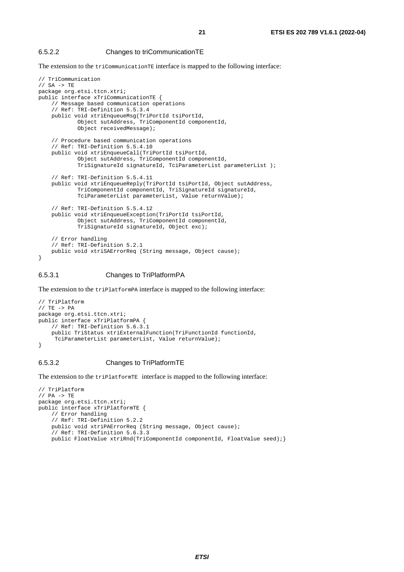#### 6.5.2.2 Changes to triCommunicationTE

The extension to the triCommunicationTE interface is mapped to the following interface:

```
// TriCommunication 
// SA -> TE 
package org.etsi.ttcn.xtri; 
public interface xTriCommunicationTE { 
     // Message based communication operations 
     // Ref: TRI-Definition 5.5.3.4 
     public void xtriEnqueueMsg(TriPortId tsiPortId, 
             Object sutAddress, TriComponentId componentId, 
             Object receivedMessage); 
     // Procedure based communication operations 
     // Ref: TRI-Definition 5.5.4.10 
     public void xtriEnqueueCall(TriPortId tsiPortId, 
             Object sutAddress, TriComponentId componentId, 
             TriSignatureId signatureId, TciParameterList parameterList ); 
     // Ref: TRI-Definition 5.5.4.11 
     public void xtriEnqueueReply(TriPortId tsiPortId, Object sutAddress, 
             TriComponentId componentId, TriSignatureId signatureId, 
             TciParameterList parameterList, Value returnValue); 
     // Ref: TRI-Definition 5.5.4.12 
     public void xtriEnqueueException(TriPortId tsiPortId, 
             Object sutAddress, TriComponentId componentId, 
             TriSignatureId signatureId, Object exc); 
     // Error handling 
     // Ref: TRI-Definition 5.2.1 
     public void xtriSAErrorReq (String message, Object cause); 
}
```
#### 6.5.3.1 Changes to TriPlatformPA

The extension to the triPlatformPA interface is mapped to the following interface:

```
// TriPlatform 
// TE -> PA 
package org.etsi.ttcn.xtri; 
public interface xTriPlatformPA { 
     // Ref: TRI-Definition 5.6.3.1 
     public TriStatus xtriExternalFunction(TriFunctionId functionId, 
      TciParameterList parameterList, Value returnValue); 
}
```
#### 6.5.3.2 Changes to TriPlatformTE

The extension to the triPlatformTE interface is mapped to the following interface:

```
// TriPlatform 
// PA -> TE 
package org.etsi.ttcn.xtri; 
public interface xTriPlatformTE { 
     // Error handling 
     // Ref: TRI-Definition 5.2.2 
     public void xtriPAErrorReq (String message, Object cause); 
     // Ref: TRI-Definition 5.6.3.3 
    public FloatValue xtriRnd(TriComponentId componentId, FloatValue seed);}
```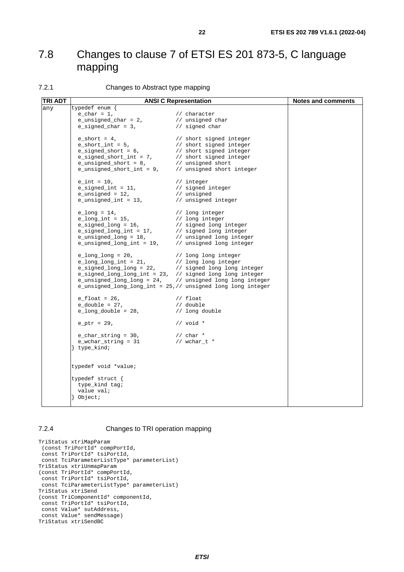### <span id="page-21-0"></span>7.8 Changes to clause 7 of ETSI ES 201 873-5, C language mapping

#### 7.2.1 Changes to Abstract type mapping

| <b>TRI ADT</b> | <b>ANSI C Representation</b>                                                                                                                                                                                                                          | <b>Notes and comments</b>   |  |
|----------------|-------------------------------------------------------------------------------------------------------------------------------------------------------------------------------------------------------------------------------------------------------|-----------------------------|--|
| any            | typedef enum {                                                                                                                                                                                                                                        |                             |  |
|                |                                                                                                                                                                                                                                                       |                             |  |
|                | $\begin{tabular}{ll} e\_char = 1, & // character \\ e\_unsigned\_char = 2, & // unsigned char \\ e\_signed\_char = 3, & // signed char \\ \end{tabular}$                                                                                              |                             |  |
|                |                                                                                                                                                                                                                                                       |                             |  |
|                |                                                                                                                                                                                                                                                       |                             |  |
|                |                                                                                                                                                                                                                                                       |                             |  |
|                |                                                                                                                                                                                                                                                       |                             |  |
|                |                                                                                                                                                                                                                                                       |                             |  |
|                |                                                                                                                                                                                                                                                       |                             |  |
|                | $e_{int} = 10$ ,                                                                                                                                                                                                                                      | // integer                  |  |
|                | e_signed_int = 11,<br>e_signed_int = 11,<br>e_unsigned = 12,<br>e_unsigned_int = 13,<br>// unsigned_integer                                                                                                                                           |                             |  |
|                |                                                                                                                                                                                                                                                       |                             |  |
|                |                                                                                                                                                                                                                                                       |                             |  |
|                |                                                                                                                                                                                                                                                       |                             |  |
|                |                                                                                                                                                                                                                                                       |                             |  |
|                |                                                                                                                                                                                                                                                       |                             |  |
|                |                                                                                                                                                                                                                                                       |                             |  |
|                |                                                                                                                                                                                                                                                       |                             |  |
|                |                                                                                                                                                                                                                                                       |                             |  |
|                | $\begin{tabular}{ll} e_long_long = 20, & // long long integer \\ e_long_long-int = 21, & // long long integer \\ e_signed_long_long = 22, & // signed long long integer \\ e_signed_long_long-int = 23, // signed long long integer \\ \end{tabular}$ |                             |  |
|                |                                                                                                                                                                                                                                                       |                             |  |
|                |                                                                                                                                                                                                                                                       |                             |  |
|                |                                                                                                                                                                                                                                                       |                             |  |
|                | e_unsigned_long_long = 24, // unsigned long long integer                                                                                                                                                                                              |                             |  |
|                | e_unsigned_long_long_int = 25,// unsigned long long integer                                                                                                                                                                                           |                             |  |
|                | $e_{flact} = 26$ ,                                                                                                                                                                                                                                    | $\frac{1}{2}$ float         |  |
|                | e_double = 27,<br>e_long_double = 28,                                                                                                                                                                                                                 | // double<br>// long double |  |
|                |                                                                                                                                                                                                                                                       |                             |  |
|                | $e_{ptr} = 29$ ,                                                                                                                                                                                                                                      | // $void *$                 |  |
|                |                                                                                                                                                                                                                                                       |                             |  |
|                | e_char_string = 30, $\frac{1}{2}$ / char *<br>e_wchar_string = 31 // wchar_t *<br>e_wchar_string = 31                                                                                                                                                 |                             |  |
|                | type_kind;                                                                                                                                                                                                                                            |                             |  |
|                |                                                                                                                                                                                                                                                       |                             |  |
|                | typedef void *value;                                                                                                                                                                                                                                  |                             |  |
|                | typedef struct {                                                                                                                                                                                                                                      |                             |  |
|                | type_kind tag;                                                                                                                                                                                                                                        |                             |  |
|                | value val;                                                                                                                                                                                                                                            |                             |  |
|                | $\}$ Object;                                                                                                                                                                                                                                          |                             |  |
|                |                                                                                                                                                                                                                                                       |                             |  |

#### 7.2.4 Changes to TRI operation mapping

```
TriStatus xtriMapParam 
 (const TriPortId* compPortId, 
 const TriPortId* tsiPortId, 
 const TciParameterListType* parameterList) 
TriStatus xtriUnmapParam 
(const TriPortId* compPortId, 
 const TriPortId* tsiPortId, 
 const TciParameterListType* parameterList) 
TriStatus xtriSend 
(const TriComponentId* componentId, 
 const TriPortId* tsiPortId, 
 const Value* sutAddress, 
 const Value* sendMessage) 
TriStatus xtriSendBC
```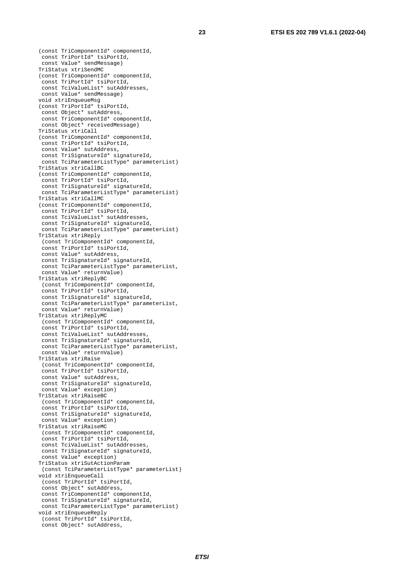const TriPortId\* tsiPortId, const Value\* sendMessage) TriStatus xtriSendMC (const TriComponentId\* componentId, const TriPortId\* tsiPortId, const TciValueList\* sutAddresses, const Value\* sendMessage) void xtriEnqueueMsg (const TriPortId\* tsiPortId, const Object\* sutAddress, const TriComponentId\* componentId, const Object\* receivedMessage) TriStatus xtriCall (const TriComponentId\* componentId, const TriPortId\* tsiPortId, const Value\* sutAddress, const TriSignatureId\* signatureId, const TciParameterListType\* parameterList) TriStatus xtriCallBC (const TriComponentId\* componentId, const TriPortId\* tsiPortId, const TriSignatureId\* signatureId, const TciParameterListType\* parameterList) TriStatus xtriCallMC (const TriComponentId\* componentId, const TriPortId\* tsiPortId, const TciValueList\* sutAddresses, const TriSignatureId\* signatureId, const TciParameterListType\* parameterList) TriStatus xtriReply (const TriComponentId\* componentId, const TriPortId\* tsiPortId, const Value\* sutAddress, const TriSignatureId\* signatureId, const TciParameterListType\* parameterList, const Value\* returnValue) TriStatus xtriReplyBC (const TriComponentId\* componentId, const TriPortId\* tsiPortId, const TriSignatureId\* signatureId, const TciParameterListType\* parameterList, const Value\* returnValue) TriStatus xtriReplyMC (const TriComponentId\* componentId, const TriPortId\* tsiPortId, const TciValueList\* sutAddresses, const TriSignatureId\* signatureId, const TciParameterListType\* parameterList, const Value\* returnValue) TriStatus xtriRaise (const TriComponentId\* componentId, const TriPortId\* tsiPortId, const Value\* sutAddress, const TriSignatureId\* signatureId, const Value\* exception) TriStatus xtriRaiseBC (const TriComponentId\* componentId, const TriPortId\* tsiPortId, const TriSignatureId\* signatureId, const Value\* exception) TriStatus xtriRaiseMC (const TriComponentId\* componentId, const TriPortId\* tsiPortId, const TciValueList\* sutAddresses, const TriSignatureId\* signatureId, const Value\* exception) TriStatus xtriSutActionParam (const TciParameterListType\* parameterList) void xtriEnqueueCall (const TriPortId\* tsiPortId, const Object\* sutAddress, const TriComponentId\* componentId, const TriSignatureId\* signatureId, const TciParameterListType\* parameterList) void xtriEnqueueReply (const TriPortId\* tsiPortId,

(const TriComponentId\* componentId,

const Object\* sutAddress,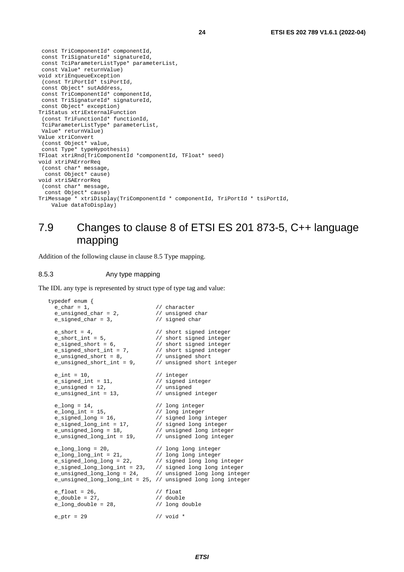<span id="page-23-0"></span> const TriComponentId\* componentId, const TriSignatureId\* signatureId, const TciParameterListType\* parameterList, const Value\* returnValue) void xtriEnqueueException (const TriPortId\* tsiPortId, const Object\* sutAddress, const TriComponentId\* componentId, const TriSignatureId\* signatureId, const Object\* exception) TriStatus xtriExternalFunction (const TriFunctionId\* functionId, TciParameterListType\* parameterList, Value\* returnValue) Value xtriConvert (const Object\* value, const Type\* typeHypothesis) TFloat xtriRnd(TriComponentId \*componentId, TFloat\* seed) void xtriPAErrorReq (const char\* message, const Object\* cause) void xtriSAErrorReq (const char\* message, const Object\* cause) TriMessage \* xtriDisplay(TriComponentId \* componentId, TriPortId \* tsiPortId,

```
 Value dataToDisplay)
```
### 7.9 Changes to clause 8 of ETSI ES 201 873-5, C++ language mapping

Addition of the following clause in clause 8.5 Type mapping.

#### 8.5.3 Any type mapping

The IDL any type is represented by struct type of type tag and value:

```
typedef enum \{e char = 1,
                                               // character<br>// unsigned char<br>// signed char
  e_unsigned_char = 2,
  e_signed_char = 3,
  \begin{array}{lll} \texttt{e\_short} = 4\,, & & \texttt{// short signed integer} \\ \texttt{e\_short\_int} = 5\,, & & \texttt{// short signed integer} \end{array}e_short_int = 5, \frac{1}{2} // short signed integer
 e_signed_short = 6, // short signed integer 
e_signed_short_int = 7, \frac{1}{100} // short signed integer
e_unsigned_short = 8, \frac{1}{2} // unsigned short
e_unsigned_short_int = 9, \frac{1}{2} // unsigned short integer
  e_{int} = 10, // integere_signed_int = 11, \frac{1}{2} // signed integer<br>e unsigned = 12, \frac{1}{2} // unsigned
  % e_unsigned = 12, \frac{1}{2} // unsigned integer<br>e_unsigned_int = 13, \frac{1}{2} // unsigned integer
  e_unsigned_int = 13,
  e_{long} = 14, // long integer<br>e_{long} int = 15, // long integer
  e_long_int = 15, <br>
e_signed_long = 16, <br>
// signed long integer<br>
// signed long integer<br>
// signed long integer
e_signed_long = 16, \frac{1}{5} // signed long integer
e_signed_long_int = 17, \frac{1}{2} // signed long integer
e_unsigned_long = 18, \frac{1}{2} // unsigned long integer
e_unsigned_long_int = 19, \frac{1}{2} // unsigned long integer
  e_long_long = 20, \frac{1}{\sqrt{2}} // long long integer
e_long_long_int = 21, \frac{1}{\sqrt{2}} // long long integer
e_signed_long_long = 22, \frac{1}{2} // signed long long integer
  e_signed_long_long_int = 23, // signed long long integer
 e_unsigned_long_long = 24, // unsigned long long integer 
 e_unsigned_long_long_int = 25, // unsigned long long integer 
  e_{\text{1}} f_{\text{1}} f_{\text{2}} f_{\text{2}} f_{\text{3}} f_{\text{3}} f_{\text{4}} f_{\text{4}} f_{\text{5}} f_{\text{6}} f_{\text{7}} f_{\text{8}} f_{\text{9}} f_{\text{1}} f_{\text{1}} f_{\text{2}} f_{\text{2}} f_{\text{3}} f_{\text{4}} f_{\text{5}} f_{\text{6}} f_{\text{9}} e_double = 27, \frac{7}{28}, \frac{7}{28}, \frac{7}{28} and \frac{7}{28} and \frac{7}{28} and \frac{7}{28} and \frac{7}{28} and \frac{7}{28} and \frac{7}{28} and \frac{7}{28} and \frac{7}{28} and \frac{7}{28} and \frac{7}{28} and \frac{7}{28} and 
  e long double = 28,
   e_ptr = 29 // void *
```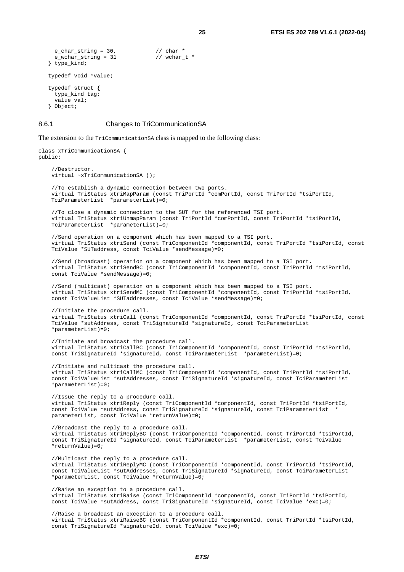```
e_char_string = 30, \frac{1}{2} // char *<br>e wchar string = 31 // wchar t *
  e wchar string = 31} type_kind; 
typedef void *value; 
typedef struct { 
  type kind tag;
   value val; 
} Object;
```
#### 8.6.1 Changes to TriCommunicationSA

The extension to the TriCommunicationSA class is mapped to the following class:

```
class xTriCommunicationSA { 
public: 
     //Destructor. 
    virtual ~xTriCommunicationSA (); 
     //To establish a dynamic connection between two ports. 
     virtual TriStatus xtriMapParam (const TriPortId *comPortId, const TriPortId *tsiPortId, 
     TciParameterList *parameterList)=0; 
     //To close a dynamic connection to the SUT for the referenced TSI port. 
     virtual TriStatus xtriUnmapParam (const TriPortId *comPortId, const TriPortId *tsiPortId, 
     TciParameterList *parameterList)=0; 
     //Send operation on a component which has been mapped to a TSI port. 
     virtual TriStatus xtriSend (const TriComponentId *componentId, const TriPortId *tsiPortId, const 
     TciValue *SUTaddress, const TciValue *sendMessage)=0; 
     //Send (broadcast) operation on a component which has been mapped to a TSI port. 
     virtual TriStatus xtriSendBC (const TriComponentId *componentId, const TriPortId *tsiPortId, 
     const TciValue *sendMessage)=0; 
     //Send (multicast) operation on a component which has been mapped to a TSI port. 
     virtual TriStatus xtriSendMC (const TriComponentId *componentId, const TriPortId *tsiPortId, 
     const TciValueList *SUTaddresses, const TciValue *sendMessage)=0; 
     //Initiate the procedure call. 
     virtual TriStatus xtriCall (const TriComponentId *componentId, const TriPortId *tsiPortId, const 
     TciValue *sutAddress, const TriSignatureId *signatureId, const TciParameterList
     *parameterList)=0; 
     //Initiate and broadcast the procedure call. 
     virtual TriStatus xtriCallBC (const TriComponentId *componentId, const TriPortId *tsiPortId, 
     const TriSignatureId *signatureId, const TciParameterList *parameterList)=0; 
     //Initiate and multicast the procedure call. 
     virtual TriStatus xtriCallMC (const TriComponentId *componentId, const TriPortId *tsiPortId, 
     const TciValueList *sutAddresses, const TriSignatureId *signatureId, const TciParameterList
     *parameterList)=0; 
     //Issue the reply to a procedure call. 
     virtual TriStatus xtriReply (const TriComponentId *componentId, const TriPortId *tsiPortId, 
     const TciValue *sutAddress, const TriSignatureId *signatureId, const TciParameterList *
     parameterList, const TciValue *returnValue)=0; 
     //Broadcast the reply to a procedure call. 
     virtual TriStatus xtriReplyBC (const TriComponentId *componentId, const TriPortId *tsiPortId, 
     const TriSignatureId *signatureId, const TciParameterList *parameterList, const TciValue 
     *returnValue)=0; 
     //Multicast the reply to a procedure call. 
     virtual TriStatus xtriReplyMC (const TriComponentId *componentId, const TriPortId *tsiPortId, 
     const TciValueList *sutAddresses, const TriSignatureId *signatureId, const TciParameterList
     *parameterList, const TciValue *returnValue)=0; 
     //Raise an exception to a procedure call. 
     virtual TriStatus xtriRaise (const TriComponentId *componentId, const TriPortId *tsiPortId, 
     const TciValue *sutAddress, const TriSignatureId *signatureId, const TciValue *exc)=0; 
     //Raise a broadcast an exception to a procedure call. 
     virtual TriStatus xtriRaiseBC (const TriComponentId *componentId, const TriPortId *tsiPortId, 
     const TriSignatureId *signatureId, const TciValue *exc)=0;
```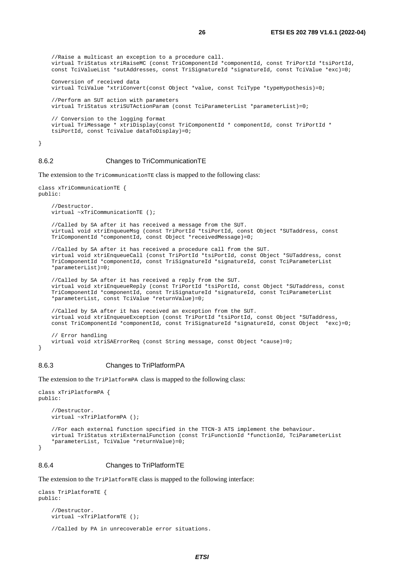```
 //Raise a multicast an exception to a procedure call. 
    virtual TriStatus xtriRaiseMC (const TriComponentId *componentId, const TriPortId *tsiPortId, 
    const TciValueList *sutAddresses, const TriSignatureId *signatureId, const TciValue *exc)=0; 
    Conversion of received data 
    virtual TciValue *xtriConvert(const Object *value, const TciType *typeHypothesis)=0; 
    //Perform an SUT action with parameters 
    virtual TriStatus xtriSUTActionParam (const TciParameterList *parameterList)=0; 
 // Conversion to the logging format 
    virtual TriMessage * xtriDisplay(const TriComponentId * componentId, const TriPortId * 
   tsiPortId, const TciValue dataToDisplay)=0;
```
}

#### 8.6.2 Changes to TriCommunicationTE

The extension to the TriCommunicationTE class is mapped to the following class:

```
class xTriCommunicationTE { 
public: 
     //Destructor. 
     virtual ~xTriCommunicationTE (); 
     //Called by SA after it has received a message from the SUT. 
     virtual void xtriEnqueueMsg (const TriPortId *tsiPortId, const Object *SUTaddress, const 
     TriComponentId *componentId, const Object *receivedMessage)=0; 
     //Called by SA after it has received a procedure call from the SUT. 
     virtual void xtriEnqueueCall (const TriPortId *tsiPortId, const Object *SUTaddress, const 
     TriComponentId *componentId, const TriSignatureId *signatureId, const TciParameterList
    *parameterList)=0;
     //Called by SA after it has received a reply from the SUT. 
     virtual void xtriEnqueueReply (const TriPortId *tsiPortId, const Object *SUTaddress, const 
     TriComponentId *componentId, const TriSignatureId *signatureId, const TciParameterList
     *parameterList, const TciValue *returnValue)=0; 
     //Called by SA after it has received an exception from the SUT. 
     virtual void xtriEnqueueException (const TriPortId *tsiPortId, const Object *SUTaddress, 
     const TriComponentId *componentId, const TriSignatureId *signatureId, const Object *exc)=0; 
     // Error handling 
     virtual void xtriSAErrorReq (const String message, const Object *cause)=0;
```
}

#### 8.6.3 Changes to TriPlatformPA

The extension to the TriPlatformPA class is mapped to the following class:

```
class xTriPlatformPA { 
public: 
     //Destructor. 
     virtual ~xTriPlatformPA (); 
     //For each external function specified in the TTCN-3 ATS implement the behaviour. 
     virtual TriStatus xtriExternalFunction (const TriFunctionId *functionId, TciParameterList
     *parameterList, TciValue *returnValue)=0; 
}
```
#### 8.6.4 Changes to TriPlatformTE

The extension to the TriPlatformTE class is mapped to the following interface:

```
class TriPlatformTE { 
public: 
     //Destructor. 
    virtual ~xTriPlatformTE ();
```

```
 //Called by PA in unrecoverable error situations.
```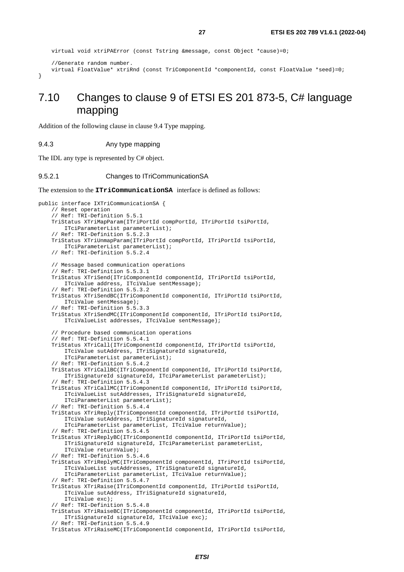```
 virtual void xtriPAError (const Tstring &message, const Object *cause)=0; 
 //Generate random number. 
 virtual FloatValue* xtriRnd (const TriComponentId *componentId, const FloatValue *seed)=0;
```
}

### 7.10 Changes to clause 9 of ETSI ES 201 873-5, C# language mapping

Addition of the following clause in clause 9.4 Type mapping.

#### 9.4.3 Any type mapping

The IDL any type is represented by C# object.

#### 9.5.2.1 Changes to ITriCommunicationSA

The extension to the **ITriCommunicationSA** interface is defined as follows:

```
public interface IXTriCommunicationSA { 
     // Reset operation 
     // Ref: TRI-Definition 5.5.1 
     TriStatus XTriMapParam(ITriPortId compPortId, ITriPortId tsiPortId, 
         ITciParameterList parameterList); 
     // Ref: TRI-Definition 5.5.2.3 
     TriStatus XTriUnmapParam(ITriPortId compPortId, ITriPortId tsiPortId, 
         ITciParameterList parameterList); 
     // Ref: TRI-Definition 5.5.2.4 
     // Message based communication operations 
     // Ref: TRI-Definition 5.5.3.1 
     TriStatus XTriSend(ITriComponentId componentId, ITriPortId tsiPortId, 
         ITciValue address, ITciValue sentMessage); 
      Ref: TRI-Definition 5.5.3.2
     TriStatus XTriSendBC(ITriComponentId componentId, ITriPortId tsiPortId, 
         ITciValue sentMessage); 
     // Ref: TRI-Definition 5.5.3.3 
     TriStatus XTriSendMC(ITriComponentId componentId, ITriPortId tsiPortId, 
         ITciValueList addresses, ITciValue sentMessage); 
     // Procedure based communication operations 
     // Ref: TRI-Definition 5.5.4.1 
     TriStatus XTriCall(ITriComponentId componentId, ITriPortId tsiPortId, 
         ITciValue sutAddress, ITriSignatureId signatureId, 
         ITciParameterList parameterList); 
     // Ref: TRI-Definition 5.5.4.2 
     TriStatus XTriCallBC(ITriComponentId componentId, ITriPortId tsiPortId, 
         ITriSignatureId signatureId, ITciParameterList parameterList); 
     // Ref: TRI-Definition 5.5.4.3 
     TriStatus XTriCallMC(ITriComponentId componentId, ITriPortId tsiPortId, 
         ITciValueList sutAddresses, ITriSignatureId signatureId, 
         ITciParameterList parameterList); 
     // Ref: TRI-Definition 5.5.4.4 
     TriStatus XTriReply(ITriComponentId componentId, ITriPortId tsiPortId, 
         ITciValue sutAddress, ITriSignatureId signatureId, 
         ITciParameterList parameterList, ITciValue returnValue); 
     // Ref: TRI-Definition 5.5.4.5 
     TriStatus XTriReplyBC(ITriComponentId componentId, ITriPortId tsiPortId, 
         ITriSignatureId signatureId, ITciParameterList parameterList, 
         ITciValue returnValue); 
     // Ref: TRI-Definition 5.5.4.6 
     TriStatus XTriReplyMC(ITriComponentId componentId, ITriPortId tsiPortId, 
         ITciValueList sutAddresses, ITriSignatureId signatureId, 
         ITciParameterList parameterList, ITciValue returnValue); 
     // Ref: TRI-Definition 5.5.4.7 
     TriStatus XTriRaise(ITriComponentId componentId, ITriPortId tsiPortId, 
         ITciValue sutAddress, ITriSignatureId signatureId, 
         ITciValue exc); 
     // Ref: TRI-Definition 5.5.4.8 
     TriStatus XTriRaiseBC(ITriComponentId componentId, ITriPortId tsiPortId, 
         ITriSignatureId signatureId, ITciValue exc); 
     // Ref: TRI-Definition 5.5.4.9 
     TriStatus XTriRaiseMC(ITriComponentId componentId, ITriPortId tsiPortId,
```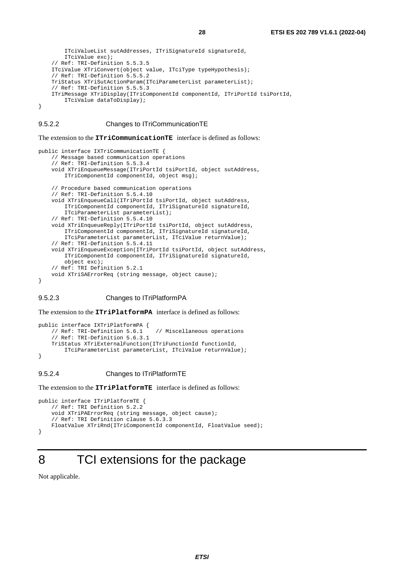```
 ITciValueList sutAddresses, ITriSignatureId signatureId, 
         ITciValue exc); 
     // Ref: TRI-Definition 5.5.3.5 
     ITciValue XTriConvert(object value, ITciType typeHypothesis); 
     // Ref: TRI-Definition 5.5.5.2 
     TriStatus XTriSutActionParam(ITciParameterList parameterList); 
     // Ref: TRI-Definition 5.5.5.3 
     ITriMessage XTriDisplay(ITriComponentId componentId, ITriPortId tsiPortId, 
         ITciValue dataToDisplay); 
}
```
#### 9.5.2.2 Changes to ITriCommunicationTE

The extension to the **ITriCommunicationTE** interface is defined as follows:

```
public interface IXTriCommunicationTE { 
     // Message based communication operations 
     // Ref: TRI-Definition 5.5.3.4 
     void XTriEnqueueMessage(ITriPortId tsiPortId, object sutAddress, 
         ITriComponentId componentId, object msg); 
     // Procedure based communication operations 
     // Ref: TRI-Definition 5.5.4.10 
     void XTriEnqueueCall(ITriPortId tsiPortId, object sutAddress, 
         ITriComponentId componentId, ITriSignatureId signatureId, 
         ITciParameterList parameterList); 
     // Ref: TRI-Definition 5.5.4.10 
     void XTriEnqueueReply(ITriPortId tsiPortId, object sutAddress, 
         ITriComponentId componentId, ITriSignatureId signatureId, 
         ITciParameterList parameterList, ITciValue returnValue); 
     // Ref: TRI-Definition 5.5.4.11 
     void XTriEnqueueException(ITriPortId tsiPortId, object sutAddress, 
         ITriComponentId componentId, ITriSignatureId signatureId, 
         object exc); 
     // Ref: TRI Definition 5.2.1 
     void XTriSAErrorReq (string message, object cause); 
}
```
#### 9.5.2.3 Changes to ITriPlatformPA

The extension to the **ITriPlatformPA** interface is defined as follows:

```
public interface IXTriPlatformPA { 
    // Ref: TRI-Definition 5.6.1 // Miscellaneous operations
     // Ref: TRI-Definition 5.6.3.1 
     TriStatus XTriExternalFunction(ITriFunctionId functionId, 
         ITciParameterList parameterList, ITciValue returnValue); 
}
```
#### 9.5.2.4 Changes to ITriPlatformTE

The extension to the **ITriPlatformTE** interface is defined as follows:

```
public interface ITriPlatformTE {
     // Ref: TRI Definition 5.2.2 
     void XTriPAErrorReq (string message, object cause); 
     // Ref: TRI Definition clause 5.6.3.3 
     FloatValue XTriRnd(ITriComponentId componentId, FloatValue seed); 
}
```
# 8 TCI extensions for the package

Not applicable.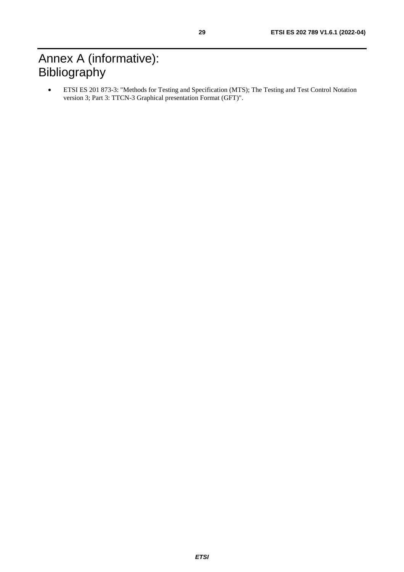# <span id="page-28-0"></span>Annex A (informative): Bibliography

• ETSI ES 201 873-3: "Methods for Testing and Specification (MTS); The Testing and Test Control Notation version 3; Part 3: TTCN-3 Graphical presentation Format (GFT)".